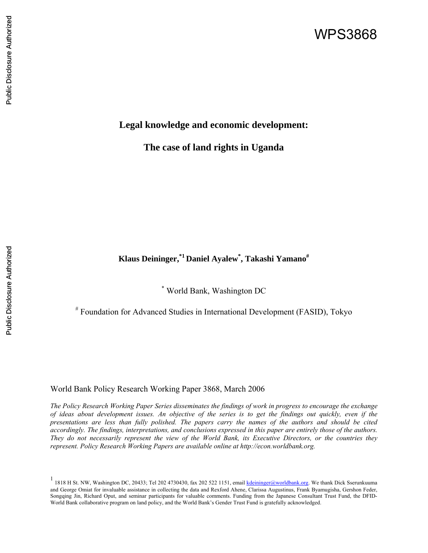# WPS3868

# Public Disclosure Authorized Public Disclosure Authorized

## **Legal knowledge and economic development:**

**The case of land rights in Uganda** 

# **Klaus Deininger,\*1 Daniel Ayalew\* , Takashi Yamano#**

\* World Bank, Washington DC

# Foundation for Advanced Studies in International Development (FASID), Tokyo

World Bank Policy Research Working Paper 3868, March 2006

*The Policy Research Working Paper Series disseminates the findings of work in progress to encourage the exchange of ideas about development issues. An objective of the series is to get the findings out quickly, even if the presentations are less than fully polished. The papers carry the names of the authors and should be cited accordingly. The findings, interpretations, and conclusions expressed in this paper are entirely those of the authors. They do not necessarily represent the view of the World Bank, its Executive Directors, or the countries they represent. Policy Research Working Papers are available online at http://econ.worldbank.org.* 

<sup>&</sup>lt;sup>1</sup> 1818 H St. NW, Washington DC, 20433; Tel 202 4730430, fax 202 522 1151, email kdeininger@worldbank.org. We thank Dick Sserunkuuma and George Omiat for invaluable assistance in collecting the data and Rexford Ahene, Clarissa Augustinus, Frank Byamugisha, Gershon Feder, Songqing Jin, Richard Oput, and seminar participants for valuable comments. Funding from the Japanese Consultant Trust Fund, the DFID-World Bank collaborative program on land policy, and the World Bank's Gender Trust Fund is gratefully acknowledged.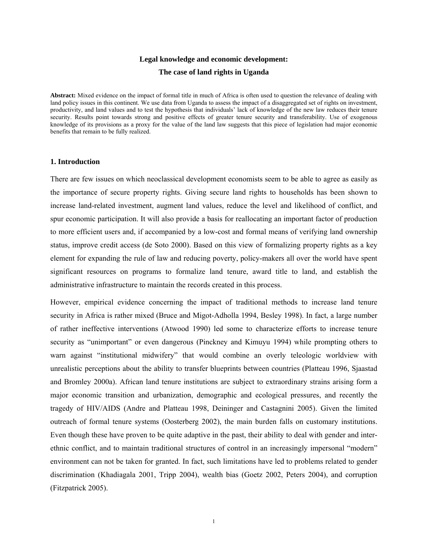## **Legal knowledge and economic development: The case of land rights in Uganda**

**Abstract:** Mixed evidence on the impact of formal title in much of Africa is often used to question the relevance of dealing with land policy issues in this continent. We use data from Uganda to assess the impact of a disaggregated set of rights on investment, productivity, and land values and to test the hypothesis that individuals' lack of knowledge of the new law reduces their tenure security. Results point towards strong and positive effects of greater tenure security and transferability. Use of exogenous knowledge of its provisions as a proxy for the value of the land law suggests that this piece of legislation had major economic benefits that remain to be fully realized.

#### **1. Introduction**

There are few issues on which neoclassical development economists seem to be able to agree as easily as the importance of secure property rights. Giving secure land rights to households has been shown to increase land-related investment, augment land values, reduce the level and likelihood of conflict, and spur economic participation. It will also provide a basis for reallocating an important factor of production to more efficient users and, if accompanied by a low-cost and formal means of verifying land ownership status, improve credit access (de Soto 2000). Based on this view of formalizing property rights as a key element for expanding the rule of law and reducing poverty, policy-makers all over the world have spent significant resources on programs to formalize land tenure, award title to land, and establish the administrative infrastructure to maintain the records created in this process.

However, empirical evidence concerning the impact of traditional methods to increase land tenure security in Africa is rather mixed (Bruce and Migot-Adholla 1994, Besley 1998). In fact, a large number of rather ineffective interventions (Atwood 1990) led some to characterize efforts to increase tenure security as "unimportant" or even dangerous (Pinckney and Kimuyu 1994) while prompting others to warn against "institutional midwifery" that would combine an overly teleologic worldview with unrealistic perceptions about the ability to transfer blueprints between countries (Platteau 1996, Sjaastad and Bromley 2000a). African land tenure institutions are subject to extraordinary strains arising form a major economic transition and urbanization, demographic and ecological pressures, and recently the tragedy of HIV/AIDS (Andre and Platteau 1998, Deininger and Castagnini 2005). Given the limited outreach of formal tenure systems (Oosterberg 2002), the main burden falls on customary institutions. Even though these have proven to be quite adaptive in the past, their ability to deal with gender and interethnic conflict, and to maintain traditional structures of control in an increasingly impersonal "modern" environment can not be taken for granted. In fact, such limitations have led to problems related to gender discrimination (Khadiagala 2001, Tripp 2004), wealth bias (Goetz 2002, Peters 2004), and corruption (Fitzpatrick 2005).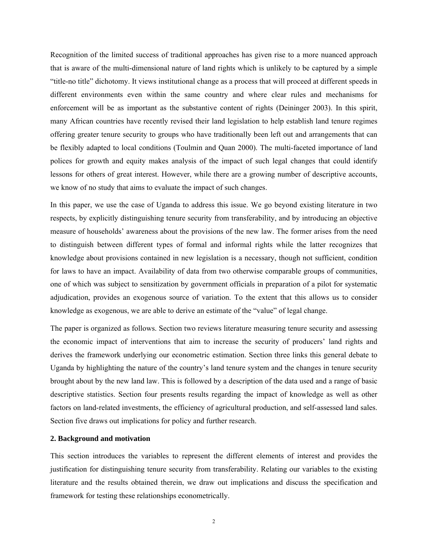Recognition of the limited success of traditional approaches has given rise to a more nuanced approach that is aware of the multi-dimensional nature of land rights which is unlikely to be captured by a simple "title-no title" dichotomy. It views institutional change as a process that will proceed at different speeds in different environments even within the same country and where clear rules and mechanisms for enforcement will be as important as the substantive content of rights (Deininger 2003). In this spirit, many African countries have recently revised their land legislation to help establish land tenure regimes offering greater tenure security to groups who have traditionally been left out and arrangements that can be flexibly adapted to local conditions (Toulmin and Quan 2000). The multi-faceted importance of land polices for growth and equity makes analysis of the impact of such legal changes that could identify lessons for others of great interest. However, while there are a growing number of descriptive accounts, we know of no study that aims to evaluate the impact of such changes.

In this paper, we use the case of Uganda to address this issue. We go beyond existing literature in two respects, by explicitly distinguishing tenure security from transferability, and by introducing an objective measure of households' awareness about the provisions of the new law. The former arises from the need to distinguish between different types of formal and informal rights while the latter recognizes that knowledge about provisions contained in new legislation is a necessary, though not sufficient, condition for laws to have an impact. Availability of data from two otherwise comparable groups of communities, one of which was subject to sensitization by government officials in preparation of a pilot for systematic adjudication, provides an exogenous source of variation. To the extent that this allows us to consider knowledge as exogenous, we are able to derive an estimate of the "value" of legal change.

The paper is organized as follows. Section two reviews literature measuring tenure security and assessing the economic impact of interventions that aim to increase the security of producers' land rights and derives the framework underlying our econometric estimation. Section three links this general debate to Uganda by highlighting the nature of the country's land tenure system and the changes in tenure security brought about by the new land law. This is followed by a description of the data used and a range of basic descriptive statistics. Section four presents results regarding the impact of knowledge as well as other factors on land-related investments, the efficiency of agricultural production, and self-assessed land sales. Section five draws out implications for policy and further research.

#### **2. Background and motivation**

This section introduces the variables to represent the different elements of interest and provides the justification for distinguishing tenure security from transferability. Relating our variables to the existing literature and the results obtained therein, we draw out implications and discuss the specification and framework for testing these relationships econometrically.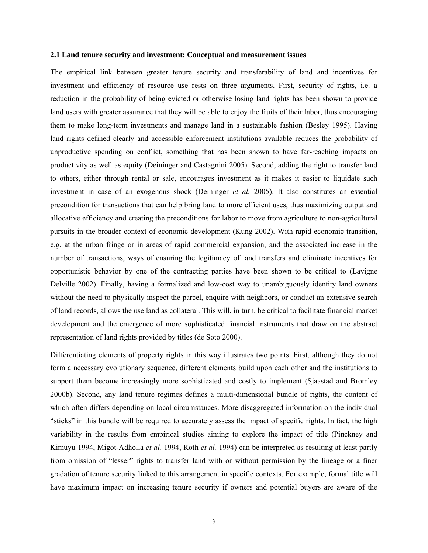#### **2.1 Land tenure security and investment: Conceptual and measurement issues**

The empirical link between greater tenure security and transferability of land and incentives for investment and efficiency of resource use rests on three arguments. First, security of rights, i.e. a reduction in the probability of being evicted or otherwise losing land rights has been shown to provide land users with greater assurance that they will be able to enjoy the fruits of their labor, thus encouraging them to make long-term investments and manage land in a sustainable fashion (Besley 1995). Having land rights defined clearly and accessible enforcement institutions available reduces the probability of unproductive spending on conflict, something that has been shown to have far-reaching impacts on productivity as well as equity (Deininger and Castagnini 2005). Second, adding the right to transfer land to others, either through rental or sale, encourages investment as it makes it easier to liquidate such investment in case of an exogenous shock (Deininger *et al.* 2005). It also constitutes an essential precondition for transactions that can help bring land to more efficient uses, thus maximizing output and allocative efficiency and creating the preconditions for labor to move from agriculture to non-agricultural pursuits in the broader context of economic development (Kung 2002). With rapid economic transition, e.g. at the urban fringe or in areas of rapid commercial expansion, and the associated increase in the number of transactions, ways of ensuring the legitimacy of land transfers and eliminate incentives for opportunistic behavior by one of the contracting parties have been shown to be critical to (Lavigne Delville 2002). Finally, having a formalized and low-cost way to unambiguously identity land owners without the need to physically inspect the parcel, enquire with neighbors, or conduct an extensive search of land records, allows the use land as collateral. This will, in turn, be critical to facilitate financial market development and the emergence of more sophisticated financial instruments that draw on the abstract representation of land rights provided by titles (de Soto 2000).

Differentiating elements of property rights in this way illustrates two points. First, although they do not form a necessary evolutionary sequence, different elements build upon each other and the institutions to support them become increasingly more sophisticated and costly to implement (Siaastad and Bromley 2000b). Second, any land tenure regimes defines a multi-dimensional bundle of rights, the content of which often differs depending on local circumstances. More disaggregated information on the individual "sticks" in this bundle will be required to accurately assess the impact of specific rights. In fact, the high variability in the results from empirical studies aiming to explore the impact of title (Pinckney and Kimuyu 1994, Migot-Adholla *et al.* 1994, Roth *et al.* 1994) can be interpreted as resulting at least partly from omission of "lesser" rights to transfer land with or without permission by the lineage or a finer gradation of tenure security linked to this arrangement in specific contexts. For example, formal title will have maximum impact on increasing tenure security if owners and potential buyers are aware of the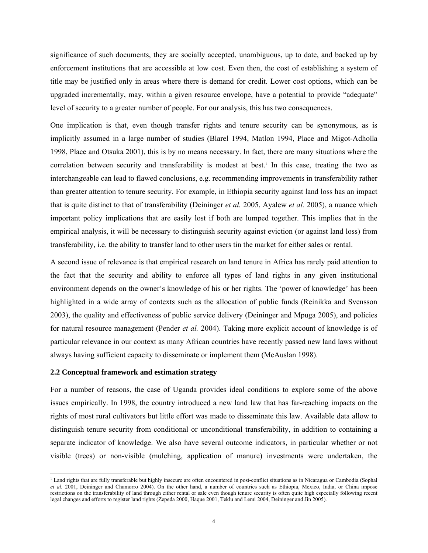significance of such documents, they are socially accepted, unambiguous, up to date, and backed up by enforcement institutions that are accessible at low cost. Even then, the cost of establishing a system of title may be justified only in areas where there is demand for credit. Lower cost options, which can be upgraded incrementally, may, within a given resource envelope, have a potential to provide "adequate" level of security to a greater number of people. For our analysis, this has two consequences.

One implication is that, even though transfer rights and tenure security can be synonymous, as is implicitly assumed in a large number of studies (Blarel 1994, Matlon 1994, Place and Migot-Adholla 1998, Place and Otsuka 2001), this is by no means necessary. In fact, there are many situations where the correlation between security and transferability is modest at best.<sup>1</sup> In this case, treating the two as interchangeable can lead to flawed conclusions, e.g. recommending improvements in transferability rather than greater attention to tenure security. For example, in Ethiopia security against land loss has an impact that is quite distinct to that of transferability (Deininger *et al.* 2005, Ayalew *et al.* 2005), a nuance which important policy implications that are easily lost if both are lumped together. This implies that in the empirical analysis, it will be necessary to distinguish security against eviction (or against land loss) from transferability, i.e. the ability to transfer land to other users tin the market for either sales or rental.

A second issue of relevance is that empirical research on land tenure in Africa has rarely paid attention to the fact that the security and ability to enforce all types of land rights in any given institutional environment depends on the owner's knowledge of his or her rights. The 'power of knowledge' has been highlighted in a wide array of contexts such as the allocation of public funds (Reinikka and Svensson 2003), the quality and effectiveness of public service delivery (Deininger and Mpuga 2005), and policies for natural resource management (Pender *et al.* 2004). Taking more explicit account of knowledge is of particular relevance in our context as many African countries have recently passed new land laws without always having sufficient capacity to disseminate or implement them (McAuslan 1998).

#### **2.2 Conceptual framework and estimation strategy**

 $\overline{a}$ 

For a number of reasons, the case of Uganda provides ideal conditions to explore some of the above issues empirically. In 1998, the country introduced a new land law that has far-reaching impacts on the rights of most rural cultivators but little effort was made to disseminate this law. Available data allow to distinguish tenure security from conditional or unconditional transferability, in addition to containing a separate indicator of knowledge. We also have several outcome indicators, in particular whether or not visible (trees) or non-visible (mulching, application of manure) investments were undertaken, the

<sup>&</sup>lt;sup>1</sup> Land rights that are fully transferable but highly insecure are often encountered in post-conflict situations as in Nicaragua or Cambodia (Sophal *et al.* 2001, Deininger and Chamorro 2004). On the other hand, a number of countries such as Ethiopia, Mexico, India, or China impose restrictions on the transferability of land through either rental or sale even though tenure security is often quite high especially following recent legal changes and efforts to register land rights (Zepeda 2000, Haque 2001, Teklu and Lemi 2004, Deininger and Jin 2005).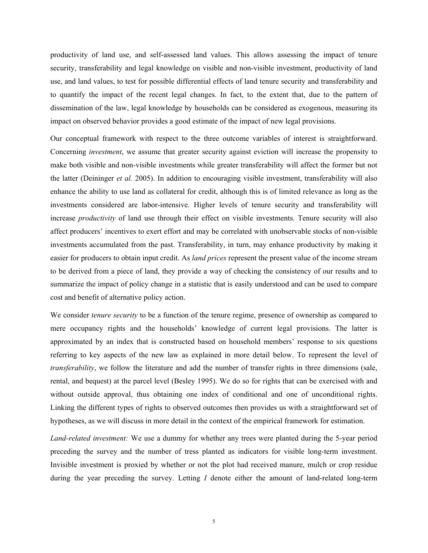productivity of land use, and self-assessed land values. This allows assessing the impact of tenure security, transferability and legal knowledge on visible and non-visible investment, productivity of land use, and land values, to test for possible differential effects of land tenure security and transferability and to quantify the impact of the recent legal changes. In fact, to the extent that, due to the pattern of dissemination of the law, legal knowledge by households can be considered as exogenous, measuring its impact on observed behavior provides a good estimate of the impact of new legal provisions.

Our conceptual framework with respect to the three outcome variables of interest is straightforward. Concerning *investment*, we assume that greater security against eviction will increase the propensity to make both visible and non-visible investments while greater transferability will affect the former but not the latter (Deininger *et al.* 2005). In addition to encouraging visible investment, transferability will also enhance the ability to use land as collateral for credit, although this is of limited relevance as long as the investments considered are labor-intensive. Higher levels of tenure security and transferability will increase *productivity* of land use through their effect on visible investments. Tenure security will also affect producers' incentives to exert effort and may be correlated with unobservable stocks of non-visible investments accumulated from the past. Transferability, in turn, may enhance productivity by making it easier for producers to obtain input credit. As *land prices* represent the present value of the income stream to be derived from a piece of land, they provide a way of checking the consistency of our results and to summarize the impact of policy change in a statistic that is easily understood and can be used to compare cost and benefit of alternative policy action.

We consider *tenure security* to be a function of the tenure regime, presence of ownership as compared to mere occupancy rights and the households' knowledge of current legal provisions. The latter is approximated by an index that is constructed based on household members' response to six questions referring to key aspects of the new law as explained in more detail below. To represent the level of *transferability*, we follow the literature and add the number of transfer rights in three dimensions (sale, rental, and bequest) at the parcel level (Besley 1995). We do so for rights that can be exercised with and without outside approval, thus obtaining one index of conditional and one of unconditional rights. Linking the different types of rights to observed outcomes then provides us with a straightforward set of hypotheses, as we will discuss in more detail in the context of the empirical framework for estimation.

*Land-related investment:* We use a dummy for whether any trees were planted during the 5-year period preceding the survey and the number of tress planted as indicators for visible long-term investment. Invisible investment is proxied by whether or not the plot had received manure, mulch or crop residue during the year preceding the survey. Letting *I* denote either the amount of land-related long-term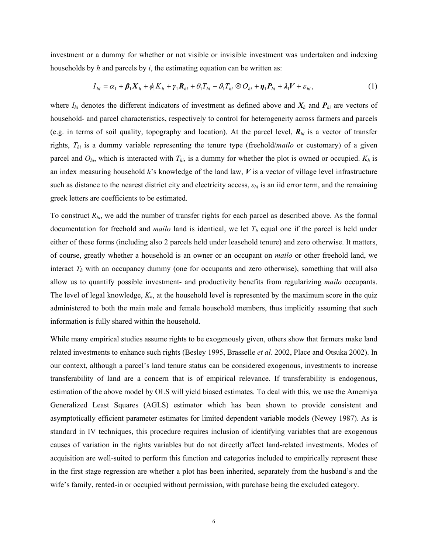investment or a dummy for whether or not visible or invisible investment was undertaken and indexing households by *h* and parcels by *i*, the estimating equation can be written as:

$$
I_{hi} = \alpha_1 + \beta_1 X_h + \phi_1 K_h + \gamma_1 R_{hi} + \theta_1 T_{hi} + \beta_1 T_{hi} \otimes O_{hi} + \eta_1 P_{hi} + \lambda_1 V + \varepsilon_{hi},
$$
\n(1)

where  $I_{hi}$  denotes the different indicators of investment as defined above and  $X_h$  and  $P_{hi}$  are vectors of household- and parcel characteristics, respectively to control for heterogeneity across farmers and parcels (e.g. in terms of soil quality, topography and location). At the parcel level, *Rhi* is a vector of transfer rights, *Thi* is a dummy variable representing the tenure type (freehold/*mailo* or customary) of a given parcel and  $O_{hi}$ , which is interacted with  $T_{hi}$ , is a dummy for whether the plot is owned or occupied.  $K_h$  is an index measuring household *h*'s knowledge of the land law, *V* is a vector of village level infrastructure such as distance to the nearest district city and electricity access, *εhi* is an iid error term, and the remaining greek letters are coefficients to be estimated.

To construct *Rhi*, we add the number of transfer rights for each parcel as described above. As the formal documentation for freehold and *mailo* land is identical, we let *Th* equal one if the parcel is held under either of these forms (including also 2 parcels held under leasehold tenure) and zero otherwise. It matters, of course, greatly whether a household is an owner or an occupant on *mailo* or other freehold land, we interact  $T<sub>h</sub>$  with an occupancy dummy (one for occupants and zero otherwise), something that will also allow us to quantify possible investment- and productivity benefits from regularizing *mailo* occupants. The level of legal knowledge,  $K_h$ , at the household level is represented by the maximum score in the quiz administered to both the main male and female household members, thus implicitly assuming that such information is fully shared within the household.

While many empirical studies assume rights to be exogenously given, others show that farmers make land related investments to enhance such rights (Besley 1995, Brasselle *et al.* 2002, Place and Otsuka 2002). In our context, although a parcel's land tenure status can be considered exogenous, investments to increase transferability of land are a concern that is of empirical relevance. If transferability is endogenous, estimation of the above model by OLS will yield biased estimates. To deal with this, we use the Amemiya Generalized Least Squares (AGLS) estimator which has been shown to provide consistent and asymptotically efficient parameter estimates for limited dependent variable models (Newey 1987). As is standard in IV techniques, this procedure requires inclusion of identifying variables that are exogenous causes of variation in the rights variables but do not directly affect land-related investments. Modes of acquisition are well-suited to perform this function and categories included to empirically represent these in the first stage regression are whether a plot has been inherited, separately from the husband's and the wife's family, rented-in or occupied without permission, with purchase being the excluded category.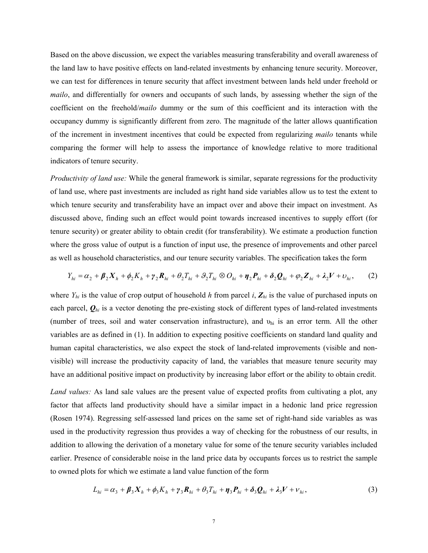Based on the above discussion, we expect the variables measuring transferability and overall awareness of the land law to have positive effects on land-related investments by enhancing tenure security. Moreover, we can test for differences in tenure security that affect investment between lands held under freehold or *mailo*, and differentially for owners and occupants of such lands, by assessing whether the sign of the coefficient on the freehold/*mailo* dummy or the sum of this coefficient and its interaction with the occupancy dummy is significantly different from zero. The magnitude of the latter allows quantification of the increment in investment incentives that could be expected from regularizing *mailo* tenants while comparing the former will help to assess the importance of knowledge relative to more traditional indicators of tenure security.

*Productivity of land use:* While the general framework is similar, separate regressions for the productivity of land use, where past investments are included as right hand side variables allow us to test the extent to which tenure security and transferability have an impact over and above their impact on investment. As discussed above, finding such an effect would point towards increased incentives to supply effort (for tenure security) or greater ability to obtain credit (for transferability). We estimate a production function where the gross value of output is a function of input use, the presence of improvements and other parcel as well as household characteristics, and our tenure security variables. The specification takes the form

$$
Y_{hi} = \alpha_2 + \beta_2 X_h + \phi_2 K_h + \gamma_2 R_{hi} + \theta_2 T_{hi} + \mathcal{G}_2 T_{hi} \otimes O_{hi} + \eta_2 P_{hi} + \delta_2 Q_{hi} + \varphi_2 Z_{hi} + \lambda_2 V + \upsilon_{hi},\tag{2}
$$

where  $Y_{hi}$  is the value of crop output of household *h* from parcel *i*,  $Z_{hi}$  is the value of purchased inputs on each parcel,  $\mathbf{Q}_{hi}$  is a vector denoting the pre-existing stock of different types of land-related investments (number of trees, soil and water conservation infrastructure), and  $v<sub>hi</sub>$  is an error term. All the other variables are as defined in (1). In addition to expecting positive coefficients on standard land quality and human capital characteristics, we also expect the stock of land-related improvements (visible and nonvisible) will increase the productivity capacity of land, the variables that measure tenure security may have an additional positive impact on productivity by increasing labor effort or the ability to obtain credit.

*Land values:* As land sale values are the present value of expected profits from cultivating a plot, any factor that affects land productivity should have a similar impact in a hedonic land price regression (Rosen 1974). Regressing self-assessed land prices on the same set of right-hand side variables as was used in the productivity regression thus provides a way of checking for the robustness of our results, in addition to allowing the derivation of a monetary value for some of the tenure security variables included earlier. Presence of considerable noise in the land price data by occupants forces us to restrict the sample to owned plots for which we estimate a land value function of the form

$$
L_{hi} = \alpha_3 + \beta_3 X_h + \phi_3 K_h + \gamma_3 R_{hi} + \theta_3 T_{hi} + \eta_3 P_{hi} + \delta_3 Q_{hi} + \lambda_3 V + \nu_{hi},
$$
\n(3)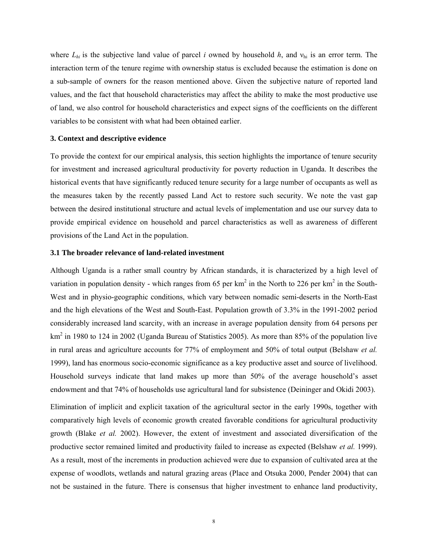where  $L_{hi}$  is the subjective land value of parcel *i* owned by household *h*, and  $v_{hi}$  is an error term. The interaction term of the tenure regime with ownership status is excluded because the estimation is done on a sub-sample of owners for the reason mentioned above. Given the subjective nature of reported land values, and the fact that household characteristics may affect the ability to make the most productive use of land, we also control for household characteristics and expect signs of the coefficients on the different variables to be consistent with what had been obtained earlier.

#### **3. Context and descriptive evidence**

To provide the context for our empirical analysis, this section highlights the importance of tenure security for investment and increased agricultural productivity for poverty reduction in Uganda. It describes the historical events that have significantly reduced tenure security for a large number of occupants as well as the measures taken by the recently passed Land Act to restore such security. We note the vast gap between the desired institutional structure and actual levels of implementation and use our survey data to provide empirical evidence on household and parcel characteristics as well as awareness of different provisions of the Land Act in the population.

#### **3.1 The broader relevance of land-related investment**

Although Uganda is a rather small country by African standards, it is characterized by a high level of variation in population density - which ranges from 65 per  $km^2$  in the North to 226 per  $km^2$  in the South-West and in physio-geographic conditions, which vary between nomadic semi-deserts in the North-East and the high elevations of the West and South-East. Population growth of 3.3% in the 1991-2002 period considerably increased land scarcity, with an increase in average population density from 64 persons per  $km<sup>2</sup>$  in 1980 to 124 in 2002 (Uganda Bureau of Statistics 2005). As more than 85% of the population live in rural areas and agriculture accounts for 77% of employment and 50% of total output (Belshaw *et al.* 1999), land has enormous socio-economic significance as a key productive asset and source of livelihood. Household surveys indicate that land makes up more than 50% of the average household's asset endowment and that 74% of households use agricultural land for subsistence (Deininger and Okidi 2003).

Elimination of implicit and explicit taxation of the agricultural sector in the early 1990s, together with comparatively high levels of economic growth created favorable conditions for agricultural productivity growth (Blake *et al.* 2002). However, the extent of investment and associated diversification of the productive sector remained limited and productivity failed to increase as expected (Belshaw *et al.* 1999). As a result, most of the increments in production achieved were due to expansion of cultivated area at the expense of woodlots, wetlands and natural grazing areas (Place and Otsuka 2000, Pender 2004) that can not be sustained in the future. There is consensus that higher investment to enhance land productivity,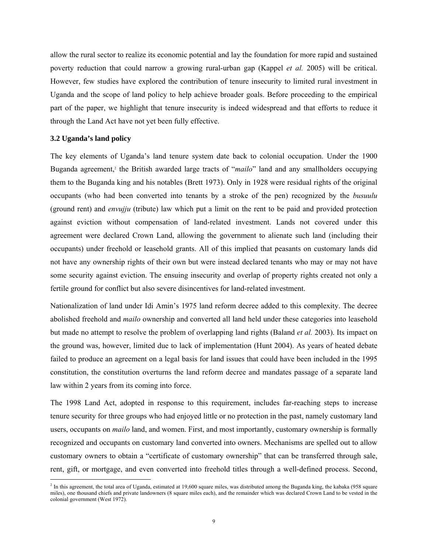allow the rural sector to realize its economic potential and lay the foundation for more rapid and sustained poverty reduction that could narrow a growing rural-urban gap (Kappel *et al.* 2005) will be critical. However, few studies have explored the contribution of tenure insecurity to limited rural investment in Uganda and the scope of land policy to help achieve broader goals. Before proceeding to the empirical part of the paper, we highlight that tenure insecurity is indeed widespread and that efforts to reduce it through the Land Act have not yet been fully effective.

#### **3.2 Uganda's land policy**

 $\overline{a}$ 

The key elements of Uganda's land tenure system date back to colonial occupation. Under the 1900 Buganda agreement,<sup>2</sup> the British awarded large tracts of "*mailo*" land and any smallholders occupying them to the Buganda king and his notables (Brett 1973). Only in 1928 were residual rights of the original occupants (who had been converted into tenants by a stroke of the pen) recognized by the *busuulu* (ground rent) and *envujju* (tribute) law which put a limit on the rent to be paid and provided protection against eviction without compensation of land-related investment. Lands not covered under this agreement were declared Crown Land, allowing the government to alienate such land (including their occupants) under freehold or leasehold grants. All of this implied that peasants on customary lands did not have any ownership rights of their own but were instead declared tenants who may or may not have some security against eviction. The ensuing insecurity and overlap of property rights created not only a fertile ground for conflict but also severe disincentives for land-related investment.

Nationalization of land under Idi Amin's 1975 land reform decree added to this complexity. The decree abolished freehold and *mailo* ownership and converted all land held under these categories into leasehold but made no attempt to resolve the problem of overlapping land rights (Baland *et al.* 2003). Its impact on the ground was, however, limited due to lack of implementation (Hunt 2004). As years of heated debate failed to produce an agreement on a legal basis for land issues that could have been included in the 1995 constitution, the constitution overturns the land reform decree and mandates passage of a separate land law within 2 years from its coming into force.

The 1998 Land Act, adopted in response to this requirement, includes far-reaching steps to increase tenure security for three groups who had enjoyed little or no protection in the past, namely customary land users, occupants on *mailo* land, and women. First, and most importantly, customary ownership is formally recognized and occupants on customary land converted into owners. Mechanisms are spelled out to allow customary owners to obtain a "certificate of customary ownership" that can be transferred through sale, rent, gift, or mortgage, and even converted into freehold titles through a well-defined process. Second,

<sup>&</sup>lt;sup>2</sup> In this agreement, the total area of Uganda, estimated at 19,600 square miles, was distributed among the Buganda king, the kabaka (958 square miles), one thousand chiefs and private landowners (8 square miles each), and the remainder which was declared Crown Land to be vested in the colonial government (West 1972).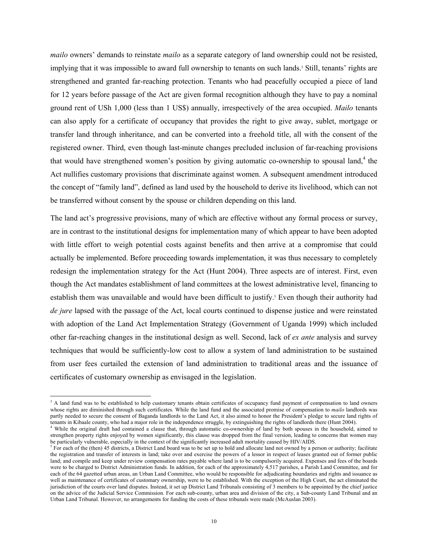*mailo* owners' demands to reinstate *mailo* as a separate category of land ownership could not be resisted, implying that it was impossible to award full ownership to tenants on such lands.<sup>3</sup> Still, tenants' rights are strengthened and granted far-reaching protection. Tenants who had peacefully occupied a piece of land for 12 years before passage of the Act are given formal recognition although they have to pay a nominal ground rent of USh 1,000 (less than 1 US\$) annually, irrespectively of the area occupied. *Mailo* tenants can also apply for a certificate of occupancy that provides the right to give away, sublet, mortgage or transfer land through inheritance, and can be converted into a freehold title, all with the consent of the registered owner. Third, even though last-minute changes precluded inclusion of far-reaching provisions that would have strengthened women's position by giving automatic co-ownership to spousal land,<sup>4</sup> the Act nullifies customary provisions that discriminate against women. A subsequent amendment introduced the concept of "family land", defined as land used by the household to derive its livelihood, which can not be transferred without consent by the spouse or children depending on this land.

The land act's progressive provisions, many of which are effective without any formal process or survey, are in contrast to the institutional designs for implementation many of which appear to have been adopted with little effort to weigh potential costs against benefits and then arrive at a compromise that could actually be implemented. Before proceeding towards implementation, it was thus necessary to completely redesign the implementation strategy for the Act (Hunt 2004). Three aspects are of interest. First, even though the Act mandates establishment of land committees at the lowest administrative level, financing to establish them was unavailable and would have been difficult to justify.<sup>5</sup> Even though their authority had *de jure* lapsed with the passage of the Act, local courts continued to dispense justice and were reinstated with adoption of the Land Act Implementation Strategy (Government of Uganda 1999) which included other far-reaching changes in the institutional design as well. Second, lack of *ex ante* analysis and survey techniques that would be sufficiently-low cost to allow a system of land administration to be sustained from user fees curtailed the extension of land administration to traditional areas and the issuance of certificates of customary ownership as envisaged in the legislation.

 $\overline{a}$ 

<sup>&</sup>lt;sup>3</sup> A land fund was to be established to help customary tenants obtain certificates of occupancy fund payment of compensation to land owners whose rights are diminished through such certificates. While the land fund and the associated promise of compensation to *mailo* landlords was partly needed to secure the consent of Baganda landlords to the Land Act, it also aimed to honor the President's pledge to secure land rights of tenants in Kibaale county, who had a major role in the independence struggle, by extinguishing the rights of landlords there (Hunt 2004). 4

<sup>&</sup>lt;sup>4</sup> While the original draft had contained a clause that, through automatic co-ownership of land by both spouses in the household, aimed to strengthen property rights enjoyed by women significantly, this clause was dropped from the final version, leading to concerns that women may be particularly vulnerable, especially in the context of the significantly increased adult mortality caused by HIV/AIDS.

 $5$  For each of the (then) 45 districts, a District Land board was to be set up to hold and allocate land not owned by a person or authority; facilitate the registration and transfer of interests in land; take over and exercise the powers of a lessor in respect of leases granted out of former public land; and compile and keep under review compensation rates payable where land is to be compulsorily acquired. Expenses and fees of the boards were to be charged to District Administration funds. In addition, for each of the approximately 4,517 parishes, a Parish Land Committee, and for each of the 64 gazetted urban areas, an Urban Land Committee, who would be responsible for adjudicating boundaries and rights and issuance as well as maintenance of certificates of customary ownership, were to be established. With the exception of the High Court, the act eliminated the jurisdiction of the courts over land disputes. Instead, it set up District Land Tribunals consisting of 3 members to be appointed by the chief justice on the advice of the Judicial Service Commission. For each sub-county, urban area and division of the city, a Sub-county Land Tribunal and an Urban Land Tribunal. However, no arrangements for funding the costs of these tribunals were made (McAuslan 2003).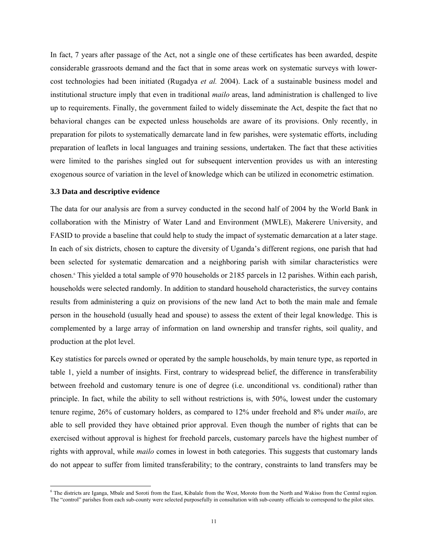In fact, 7 years after passage of the Act, not a single one of these certificates has been awarded, despite considerable grassroots demand and the fact that in some areas work on systematic surveys with lowercost technologies had been initiated (Rugadya *et al.* 2004). Lack of a sustainable business model and institutional structure imply that even in traditional *mailo* areas, land administration is challenged to live up to requirements. Finally, the government failed to widely disseminate the Act, despite the fact that no behavioral changes can be expected unless households are aware of its provisions. Only recently, in preparation for pilots to systematically demarcate land in few parishes, were systematic efforts, including preparation of leaflets in local languages and training sessions, undertaken. The fact that these activities were limited to the parishes singled out for subsequent intervention provides us with an interesting exogenous source of variation in the level of knowledge which can be utilized in econometric estimation.

#### **3.3 Data and descriptive evidence**

 $\overline{a}$ 

The data for our analysis are from a survey conducted in the second half of 2004 by the World Bank in collaboration with the Ministry of Water Land and Environment (MWLE), Makerere University, and FASID to provide a baseline that could help to study the impact of systematic demarcation at a later stage. In each of six districts, chosen to capture the diversity of Uganda's different regions, one parish that had been selected for systematic demarcation and a neighboring parish with similar characteristics were chosen.6 This yielded a total sample of 970 households or 2185 parcels in 12 parishes. Within each parish, households were selected randomly. In addition to standard household characteristics, the survey contains results from administering a quiz on provisions of the new land Act to both the main male and female person in the household (usually head and spouse) to assess the extent of their legal knowledge. This is complemented by a large array of information on land ownership and transfer rights, soil quality, and production at the plot level.

Key statistics for parcels owned or operated by the sample households, by main tenure type, as reported in table 1, yield a number of insights. First, contrary to widespread belief, the difference in transferability between freehold and customary tenure is one of degree (i.e. unconditional vs. conditional) rather than principle. In fact, while the ability to sell without restrictions is, with 50%, lowest under the customary tenure regime, 26% of customary holders, as compared to 12% under freehold and 8% under *mailo*, are able to sell provided they have obtained prior approval. Even though the number of rights that can be exercised without approval is highest for freehold parcels, customary parcels have the highest number of rights with approval, while *mailo* comes in lowest in both categories. This suggests that customary lands do not appear to suffer from limited transferability; to the contrary, constraints to land transfers may be

<sup>&</sup>lt;sup>6</sup> The districts are Iganga, Mbale and Soroti from the East, Kibalale from the West, Moroto from the North and Wakiso from the Central region. The "control" parishes from each sub-county were selected purposefully in consultation with sub-county officials to correspond to the pilot sites.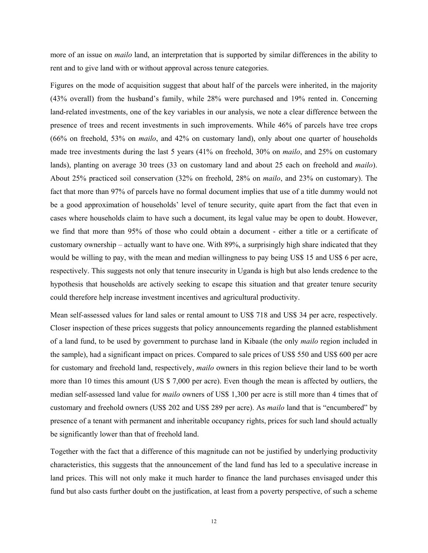more of an issue on *mailo* land, an interpretation that is supported by similar differences in the ability to rent and to give land with or without approval across tenure categories.

Figures on the mode of acquisition suggest that about half of the parcels were inherited, in the majority (43% overall) from the husband's family, while 28% were purchased and 19% rented in. Concerning land-related investments, one of the key variables in our analysis, we note a clear difference between the presence of trees and recent investments in such improvements. While 46% of parcels have tree crops (66% on freehold, 53% on *mailo*, and 42% on customary land), only about one quarter of households made tree investments during the last 5 years (41% on freehold, 30% on *mailo*, and 25% on customary lands), planting on average 30 trees (33 on customary land and about 25 each on freehold and *mailo*). About 25% practiced soil conservation (32% on freehold, 28% on *mailo*, and 23% on customary). The fact that more than 97% of parcels have no formal document implies that use of a title dummy would not be a good approximation of households' level of tenure security, quite apart from the fact that even in cases where households claim to have such a document, its legal value may be open to doubt. However, we find that more than 95% of those who could obtain a document - either a title or a certificate of customary ownership – actually want to have one. With 89%, a surprisingly high share indicated that they would be willing to pay, with the mean and median willingness to pay being US\$ 15 and US\$ 6 per acre, respectively. This suggests not only that tenure insecurity in Uganda is high but also lends credence to the hypothesis that households are actively seeking to escape this situation and that greater tenure security could therefore help increase investment incentives and agricultural productivity.

Mean self-assessed values for land sales or rental amount to US\$ 718 and US\$ 34 per acre, respectively. Closer inspection of these prices suggests that policy announcements regarding the planned establishment of a land fund, to be used by government to purchase land in Kibaale (the only *mailo* region included in the sample), had a significant impact on prices. Compared to sale prices of US\$ 550 and US\$ 600 per acre for customary and freehold land, respectively, *mailo* owners in this region believe their land to be worth more than 10 times this amount (US \$ 7,000 per acre). Even though the mean is affected by outliers, the median self-assessed land value for *mailo* owners of US\$ 1,300 per acre is still more than 4 times that of customary and freehold owners (US\$ 202 and US\$ 289 per acre). As *mailo* land that is "encumbered" by presence of a tenant with permanent and inheritable occupancy rights, prices for such land should actually be significantly lower than that of freehold land.

Together with the fact that a difference of this magnitude can not be justified by underlying productivity characteristics, this suggests that the announcement of the land fund has led to a speculative increase in land prices. This will not only make it much harder to finance the land purchases envisaged under this fund but also casts further doubt on the justification, at least from a poverty perspective, of such a scheme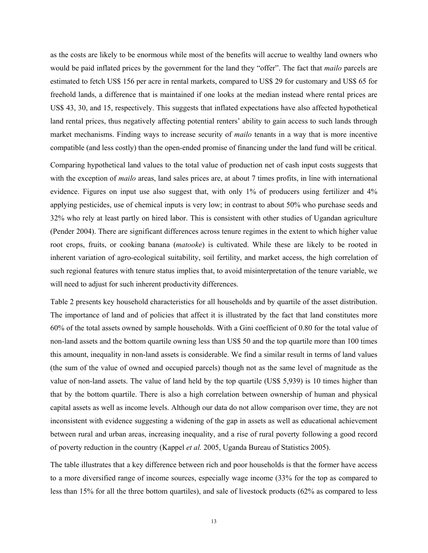as the costs are likely to be enormous while most of the benefits will accrue to wealthy land owners who would be paid inflated prices by the government for the land they "offer". The fact that *mailo* parcels are estimated to fetch US\$ 156 per acre in rental markets, compared to US\$ 29 for customary and US\$ 65 for freehold lands, a difference that is maintained if one looks at the median instead where rental prices are US\$ 43, 30, and 15, respectively. This suggests that inflated expectations have also affected hypothetical land rental prices, thus negatively affecting potential renters' ability to gain access to such lands through market mechanisms. Finding ways to increase security of *mailo* tenants in a way that is more incentive compatible (and less costly) than the open-ended promise of financing under the land fund will be critical.

Comparing hypothetical land values to the total value of production net of cash input costs suggests that with the exception of *mailo* areas, land sales prices are, at about 7 times profits, in line with international evidence. Figures on input use also suggest that, with only 1% of producers using fertilizer and 4% applying pesticides, use of chemical inputs is very low; in contrast to about 50% who purchase seeds and 32% who rely at least partly on hired labor. This is consistent with other studies of Ugandan agriculture (Pender 2004). There are significant differences across tenure regimes in the extent to which higher value root crops, fruits, or cooking banana (*matooke*) is cultivated. While these are likely to be rooted in inherent variation of agro-ecological suitability, soil fertility, and market access, the high correlation of such regional features with tenure status implies that, to avoid misinterpretation of the tenure variable, we will need to adjust for such inherent productivity differences.

Table 2 presents key household characteristics for all households and by quartile of the asset distribution. The importance of land and of policies that affect it is illustrated by the fact that land constitutes more 60% of the total assets owned by sample households. With a Gini coefficient of 0.80 for the total value of non-land assets and the bottom quartile owning less than US\$ 50 and the top quartile more than 100 times this amount, inequality in non-land assets is considerable. We find a similar result in terms of land values (the sum of the value of owned and occupied parcels) though not as the same level of magnitude as the value of non-land assets. The value of land held by the top quartile (US\$ 5,939) is 10 times higher than that by the bottom quartile. There is also a high correlation between ownership of human and physical capital assets as well as income levels. Although our data do not allow comparison over time, they are not inconsistent with evidence suggesting a widening of the gap in assets as well as educational achievement between rural and urban areas, increasing inequality, and a rise of rural poverty following a good record of poverty reduction in the country (Kappel *et al.* 2005, Uganda Bureau of Statistics 2005).

The table illustrates that a key difference between rich and poor households is that the former have access to a more diversified range of income sources, especially wage income (33% for the top as compared to less than 15% for all the three bottom quartiles), and sale of livestock products (62% as compared to less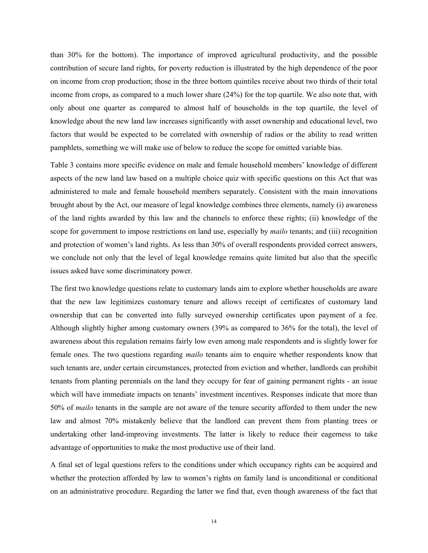than 30% for the bottom). The importance of improved agricultural productivity, and the possible contribution of secure land rights, for poverty reduction is illustrated by the high dependence of the poor on income from crop production; those in the three bottom quintiles receive about two thirds of their total income from crops, as compared to a much lower share (24%) for the top quartile. We also note that, with only about one quarter as compared to almost half of households in the top quartile, the level of knowledge about the new land law increases significantly with asset ownership and educational level, two factors that would be expected to be correlated with ownership of radios or the ability to read written pamphlets, something we will make use of below to reduce the scope for omitted variable bias.

Table 3 contains more specific evidence on male and female household members' knowledge of different aspects of the new land law based on a multiple choice quiz with specific questions on this Act that was administered to male and female household members separately. Consistent with the main innovations brought about by the Act, our measure of legal knowledge combines three elements, namely (i) awareness of the land rights awarded by this law and the channels to enforce these rights; (ii) knowledge of the scope for government to impose restrictions on land use, especially by *mailo* tenants; and (iii) recognition and protection of women's land rights. As less than 30% of overall respondents provided correct answers, we conclude not only that the level of legal knowledge remains quite limited but also that the specific issues asked have some discriminatory power.

The first two knowledge questions relate to customary lands aim to explore whether households are aware that the new law legitimizes customary tenure and allows receipt of certificates of customary land ownership that can be converted into fully surveyed ownership certificates upon payment of a fee. Although slightly higher among customary owners (39% as compared to 36% for the total), the level of awareness about this regulation remains fairly low even among male respondents and is slightly lower for female ones. The two questions regarding *mailo* tenants aim to enquire whether respondents know that such tenants are, under certain circumstances, protected from eviction and whether, landlords can prohibit tenants from planting perennials on the land they occupy for fear of gaining permanent rights - an issue which will have immediate impacts on tenants' investment incentives. Responses indicate that more than 50% of *mailo* tenants in the sample are not aware of the tenure security afforded to them under the new law and almost 70% mistakenly believe that the landlord can prevent them from planting trees or undertaking other land-improving investments. The latter is likely to reduce their eagerness to take advantage of opportunities to make the most productive use of their land.

A final set of legal questions refers to the conditions under which occupancy rights can be acquired and whether the protection afforded by law to women's rights on family land is unconditional or conditional on an administrative procedure. Regarding the latter we find that, even though awareness of the fact that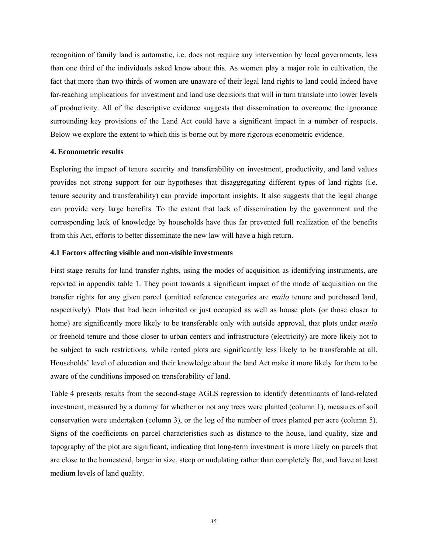recognition of family land is automatic, i.e. does not require any intervention by local governments, less than one third of the individuals asked know about this. As women play a major role in cultivation, the fact that more than two thirds of women are unaware of their legal land rights to land could indeed have far-reaching implications for investment and land use decisions that will in turn translate into lower levels of productivity. All of the descriptive evidence suggests that dissemination to overcome the ignorance surrounding key provisions of the Land Act could have a significant impact in a number of respects. Below we explore the extent to which this is borne out by more rigorous econometric evidence.

#### **4. Econometric results**

Exploring the impact of tenure security and transferability on investment, productivity, and land values provides not strong support for our hypotheses that disaggregating different types of land rights (i.e. tenure security and transferability) can provide important insights. It also suggests that the legal change can provide very large benefits. To the extent that lack of dissemination by the government and the corresponding lack of knowledge by households have thus far prevented full realization of the benefits from this Act, efforts to better disseminate the new law will have a high return.

#### **4.1 Factors affecting visible and non-visible investments**

First stage results for land transfer rights, using the modes of acquisition as identifying instruments, are reported in appendix table 1. They point towards a significant impact of the mode of acquisition on the transfer rights for any given parcel (omitted reference categories are *mailo* tenure and purchased land, respectively). Plots that had been inherited or just occupied as well as house plots (or those closer to home) are significantly more likely to be transferable only with outside approval, that plots under *mailo* or freehold tenure and those closer to urban centers and infrastructure (electricity) are more likely not to be subject to such restrictions, while rented plots are significantly less likely to be transferable at all. Households' level of education and their knowledge about the land Act make it more likely for them to be aware of the conditions imposed on transferability of land.

Table 4 presents results from the second-stage AGLS regression to identify determinants of land-related investment, measured by a dummy for whether or not any trees were planted (column 1), measures of soil conservation were undertaken (column 3), or the log of the number of trees planted per acre (column 5). Signs of the coefficients on parcel characteristics such as distance to the house, land quality, size and topography of the plot are significant, indicating that long-term investment is more likely on parcels that are close to the homestead, larger in size, steep or undulating rather than completely flat, and have at least medium levels of land quality.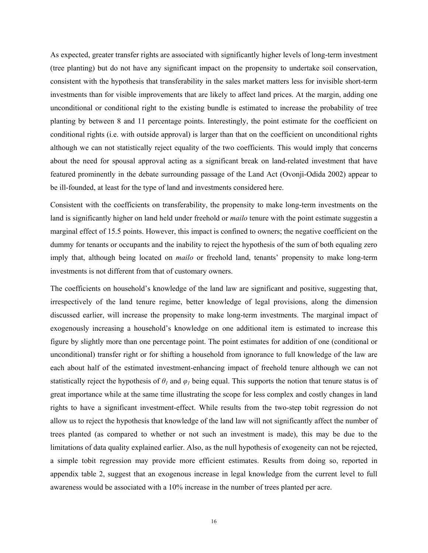As expected, greater transfer rights are associated with significantly higher levels of long-term investment (tree planting) but do not have any significant impact on the propensity to undertake soil conservation, consistent with the hypothesis that transferability in the sales market matters less for invisible short-term investments than for visible improvements that are likely to affect land prices. At the margin, adding one unconditional or conditional right to the existing bundle is estimated to increase the probability of tree planting by between 8 and 11 percentage points. Interestingly, the point estimate for the coefficient on conditional rights (i.e. with outside approval) is larger than that on the coefficient on unconditional rights although we can not statistically reject equality of the two coefficients. This would imply that concerns about the need for spousal approval acting as a significant break on land-related investment that have featured prominently in the debate surrounding passage of the Land Act (Ovonji-Odida 2002) appear to be ill-founded, at least for the type of land and investments considered here.

Consistent with the coefficients on transferability, the propensity to make long-term investments on the land is significantly higher on land held under freehold or *mailo* tenure with the point estimate suggestin a marginal effect of 15.5 points. However, this impact is confined to owners; the negative coefficient on the dummy for tenants or occupants and the inability to reject the hypothesis of the sum of both equaling zero imply that, although being located on *mailo* or freehold land, tenants' propensity to make long-term investments is not different from that of customary owners.

The coefficients on household's knowledge of the land law are significant and positive, suggesting that, irrespectively of the land tenure regime, better knowledge of legal provisions, along the dimension discussed earlier, will increase the propensity to make long-term investments. The marginal impact of exogenously increasing a household's knowledge on one additional item is estimated to increase this figure by slightly more than one percentage point. The point estimates for addition of one (conditional or unconditional) transfer right or for shifting a household from ignorance to full knowledge of the law are each about half of the estimated investment-enhancing impact of freehold tenure although we can not statistically reject the hypothesis of  $\theta_l$  and  $\varphi_l$  being equal. This supports the notion that tenure status is of great importance while at the same time illustrating the scope for less complex and costly changes in land rights to have a significant investment-effect. While results from the two-step tobit regression do not allow us to reject the hypothesis that knowledge of the land law will not significantly affect the number of trees planted (as compared to whether or not such an investment is made), this may be due to the limitations of data quality explained earlier. Also, as the null hypothesis of exogeneity can not be rejected, a simple tobit regression may provide more efficient estimates. Results from doing so, reported in appendix table 2, suggest that an exogenous increase in legal knowledge from the current level to full awareness would be associated with a 10% increase in the number of trees planted per acre.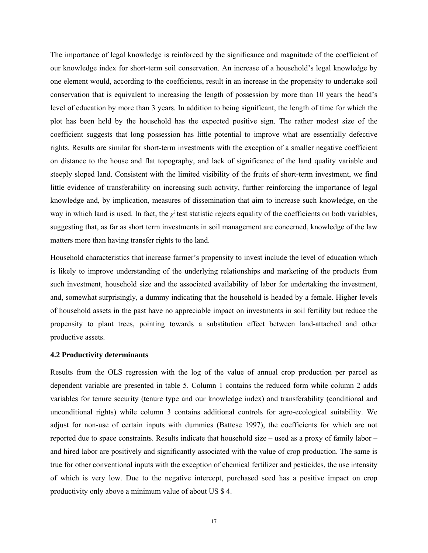The importance of legal knowledge is reinforced by the significance and magnitude of the coefficient of our knowledge index for short-term soil conservation. An increase of a household's legal knowledge by one element would, according to the coefficients, result in an increase in the propensity to undertake soil conservation that is equivalent to increasing the length of possession by more than 10 years the head's level of education by more than 3 years. In addition to being significant, the length of time for which the plot has been held by the household has the expected positive sign. The rather modest size of the coefficient suggests that long possession has little potential to improve what are essentially defective rights. Results are similar for short-term investments with the exception of a smaller negative coefficient on distance to the house and flat topography, and lack of significance of the land quality variable and steeply sloped land. Consistent with the limited visibility of the fruits of short-term investment, we find little evidence of transferability on increasing such activity, further reinforcing the importance of legal knowledge and, by implication, measures of dissemination that aim to increase such knowledge, on the way in which land is used. In fact, the  $\chi^2$  test statistic rejects equality of the coefficients on both variables, suggesting that, as far as short term investments in soil management are concerned, knowledge of the law matters more than having transfer rights to the land.

Household characteristics that increase farmer's propensity to invest include the level of education which is likely to improve understanding of the underlying relationships and marketing of the products from such investment, household size and the associated availability of labor for undertaking the investment, and, somewhat surprisingly, a dummy indicating that the household is headed by a female. Higher levels of household assets in the past have no appreciable impact on investments in soil fertility but reduce the propensity to plant trees, pointing towards a substitution effect between land-attached and other productive assets.

#### **4.2 Productivity determinants**

Results from the OLS regression with the log of the value of annual crop production per parcel as dependent variable are presented in table 5. Column 1 contains the reduced form while column 2 adds variables for tenure security (tenure type and our knowledge index) and transferability (conditional and unconditional rights) while column 3 contains additional controls for agro-ecological suitability. We adjust for non-use of certain inputs with dummies (Battese 1997), the coefficients for which are not reported due to space constraints. Results indicate that household size – used as a proxy of family labor – and hired labor are positively and significantly associated with the value of crop production. The same is true for other conventional inputs with the exception of chemical fertilizer and pesticides, the use intensity of which is very low. Due to the negative intercept, purchased seed has a positive impact on crop productivity only above a minimum value of about US \$ 4.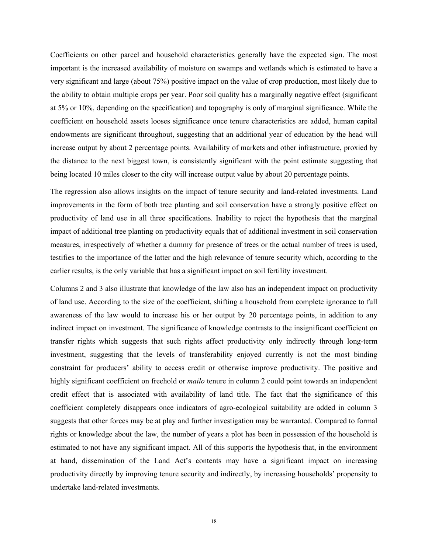Coefficients on other parcel and household characteristics generally have the expected sign. The most important is the increased availability of moisture on swamps and wetlands which is estimated to have a very significant and large (about 75%) positive impact on the value of crop production, most likely due to the ability to obtain multiple crops per year. Poor soil quality has a marginally negative effect (significant at 5% or 10%, depending on the specification) and topography is only of marginal significance. While the coefficient on household assets looses significance once tenure characteristics are added, human capital endowments are significant throughout, suggesting that an additional year of education by the head will increase output by about 2 percentage points. Availability of markets and other infrastructure, proxied by the distance to the next biggest town, is consistently significant with the point estimate suggesting that being located 10 miles closer to the city will increase output value by about 20 percentage points.

The regression also allows insights on the impact of tenure security and land-related investments. Land improvements in the form of both tree planting and soil conservation have a strongly positive effect on productivity of land use in all three specifications. Inability to reject the hypothesis that the marginal impact of additional tree planting on productivity equals that of additional investment in soil conservation measures, irrespectively of whether a dummy for presence of trees or the actual number of trees is used, testifies to the importance of the latter and the high relevance of tenure security which, according to the earlier results, is the only variable that has a significant impact on soil fertility investment.

Columns 2 and 3 also illustrate that knowledge of the law also has an independent impact on productivity of land use. According to the size of the coefficient, shifting a household from complete ignorance to full awareness of the law would to increase his or her output by 20 percentage points, in addition to any indirect impact on investment. The significance of knowledge contrasts to the insignificant coefficient on transfer rights which suggests that such rights affect productivity only indirectly through long-term investment, suggesting that the levels of transferability enjoyed currently is not the most binding constraint for producers' ability to access credit or otherwise improve productivity. The positive and highly significant coefficient on freehold or *mailo* tenure in column 2 could point towards an independent credit effect that is associated with availability of land title. The fact that the significance of this coefficient completely disappears once indicators of agro-ecological suitability are added in column 3 suggests that other forces may be at play and further investigation may be warranted. Compared to formal rights or knowledge about the law, the number of years a plot has been in possession of the household is estimated to not have any significant impact. All of this supports the hypothesis that, in the environment at hand, dissemination of the Land Act's contents may have a significant impact on increasing productivity directly by improving tenure security and indirectly, by increasing households' propensity to undertake land-related investments.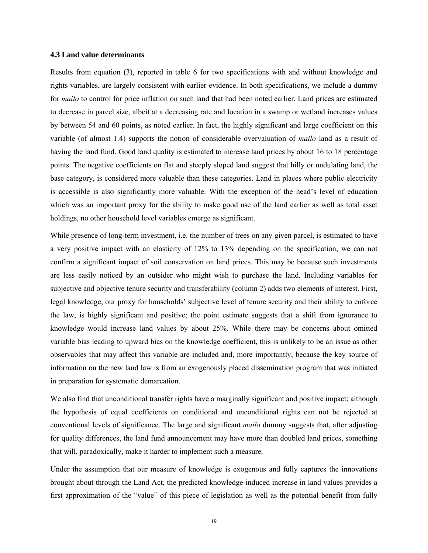#### **4.3 Land value determinants**

Results from equation (3), reported in table 6 for two specifications with and without knowledge and rights variables, are largely consistent with earlier evidence. In both specifications, we include a dummy for *mailo* to control for price inflation on such land that had been noted earlier. Land prices are estimated to decrease in parcel size, albeit at a decreasing rate and location in a swamp or wetland increases values by between 54 and 60 points, as noted earlier. In fact, the highly significant and large coefficient on this variable (of almost 1.4) supports the notion of considerable overvaluation of *mailo* land as a result of having the land fund. Good land quality is estimated to increase land prices by about 16 to 18 percentage points. The negative coefficients on flat and steeply sloped land suggest that hilly or undulating land, the base category, is considered more valuable than these categories. Land in places where public electricity is accessible is also significantly more valuable. With the exception of the head's level of education which was an important proxy for the ability to make good use of the land earlier as well as total asset holdings, no other household level variables emerge as significant.

While presence of long-term investment, i.e. the number of trees on any given parcel, is estimated to have a very positive impact with an elasticity of 12% to 13% depending on the specification, we can not confirm a significant impact of soil conservation on land prices. This may be because such investments are less easily noticed by an outsider who might wish to purchase the land. Including variables for subjective and objective tenure security and transferability (column 2) adds two elements of interest. First, legal knowledge, our proxy for households' subjective level of tenure security and their ability to enforce the law, is highly significant and positive; the point estimate suggests that a shift from ignorance to knowledge would increase land values by about 25%. While there may be concerns about omitted variable bias leading to upward bias on the knowledge coefficient, this is unlikely to be an issue as other observables that may affect this variable are included and, more importantly, because the key source of information on the new land law is from an exogenously placed dissemination program that was initiated in preparation for systematic demarcation.

We also find that unconditional transfer rights have a marginally significant and positive impact; although the hypothesis of equal coefficients on conditional and unconditional rights can not be rejected at conventional levels of significance. The large and significant *mailo* dummy suggests that, after adjusting for quality differences, the land fund announcement may have more than doubled land prices, something that will, paradoxically, make it harder to implement such a measure.

Under the assumption that our measure of knowledge is exogenous and fully captures the innovations brought about through the Land Act, the predicted knowledge-induced increase in land values provides a first approximation of the "value" of this piece of legislation as well as the potential benefit from fully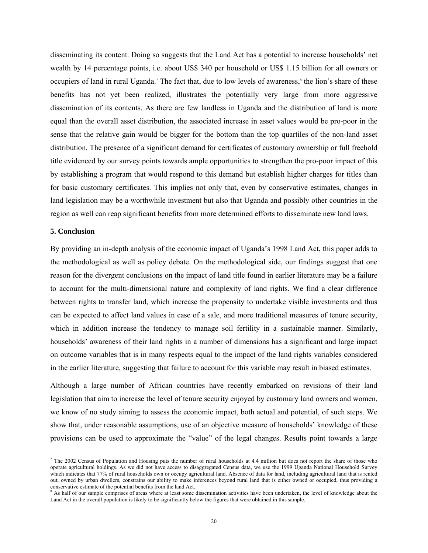disseminating its content. Doing so suggests that the Land Act has a potential to increase households' net wealth by 14 percentage points, i.e. about US\$ 340 per household or US\$ 1.15 billion for all owners or occupiers of land in rural Uganda.<sup>7</sup> The fact that, due to low levels of awareness,<sup>8</sup> the lion's share of these benefits has not yet been realized, illustrates the potentially very large from more aggressive dissemination of its contents. As there are few landless in Uganda and the distribution of land is more equal than the overall asset distribution, the associated increase in asset values would be pro-poor in the sense that the relative gain would be bigger for the bottom than the top quartiles of the non-land asset distribution. The presence of a significant demand for certificates of customary ownership or full freehold title evidenced by our survey points towards ample opportunities to strengthen the pro-poor impact of this by establishing a program that would respond to this demand but establish higher charges for titles than for basic customary certificates. This implies not only that, even by conservative estimates, changes in land legislation may be a worthwhile investment but also that Uganda and possibly other countries in the region as well can reap significant benefits from more determined efforts to disseminate new land laws.

#### **5. Conclusion**

By providing an in-depth analysis of the economic impact of Uganda's 1998 Land Act, this paper adds to the methodological as well as policy debate. On the methodological side, our findings suggest that one reason for the divergent conclusions on the impact of land title found in earlier literature may be a failure to account for the multi-dimensional nature and complexity of land rights. We find a clear difference between rights to transfer land, which increase the propensity to undertake visible investments and thus can be expected to affect land values in case of a sale, and more traditional measures of tenure security, which in addition increase the tendency to manage soil fertility in a sustainable manner. Similarly, households' awareness of their land rights in a number of dimensions has a significant and large impact on outcome variables that is in many respects equal to the impact of the land rights variables considered in the earlier literature, suggesting that failure to account for this variable may result in biased estimates.

Although a large number of African countries have recently embarked on revisions of their land legislation that aim to increase the level of tenure security enjoyed by customary land owners and women, we know of no study aiming to assess the economic impact, both actual and potential, of such steps. We show that, under reasonable assumptions, use of an objective measure of households' knowledge of these provisions can be used to approximate the "value" of the legal changes. Results point towards a large

<sup>&</sup>lt;sup>7</sup> The 2002 Census of Population and Housing puts the number of rural households at 4.4 million but does not report the share of those who operate agricultural holdings. As we did not have access to disaggregated Census data, we use the 1999 Uganda National Household Survey which indicates that 77% of rural households own or occupy agricultural land. Absence of data for land, including agricultural land that is rented out, owned by urban dwellers, constrains our ability to make inferences beyond rural land that is either owned or occupied, thus providing a conservative estimate of the potential benefits from the land Act.  $8.4e$  helf  $-6$ 

As half of our sample comprises of areas where at least some dissemination activities have been undertaken, the level of knowledge about the Land Act in the overall population is likely to be significantly below the figures that were obtained in this sample.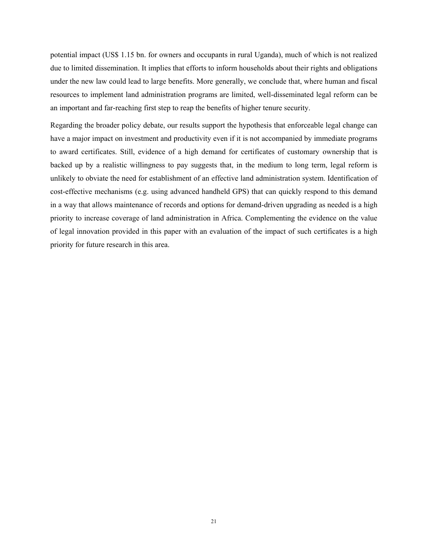potential impact (US\$ 1.15 bn. for owners and occupants in rural Uganda), much of which is not realized due to limited dissemination. It implies that efforts to inform households about their rights and obligations under the new law could lead to large benefits. More generally, we conclude that, where human and fiscal resources to implement land administration programs are limited, well-disseminated legal reform can be an important and far-reaching first step to reap the benefits of higher tenure security.

Regarding the broader policy debate, our results support the hypothesis that enforceable legal change can have a major impact on investment and productivity even if it is not accompanied by immediate programs to award certificates. Still, evidence of a high demand for certificates of customary ownership that is backed up by a realistic willingness to pay suggests that, in the medium to long term, legal reform is unlikely to obviate the need for establishment of an effective land administration system. Identification of cost-effective mechanisms (e.g. using advanced handheld GPS) that can quickly respond to this demand in a way that allows maintenance of records and options for demand-driven upgrading as needed is a high priority to increase coverage of land administration in Africa. Complementing the evidence on the value of legal innovation provided in this paper with an evaluation of the impact of such certificates is a high priority for future research in this area.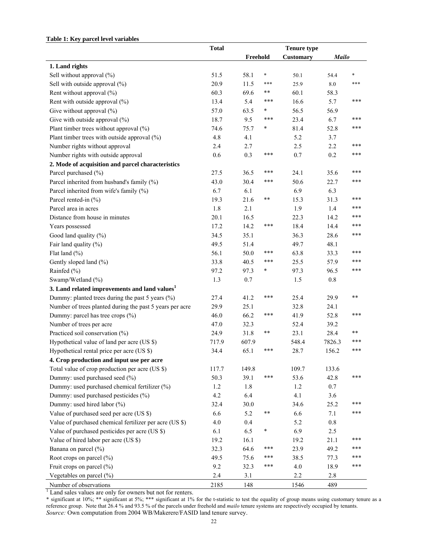#### **Table 1: Key parcel level variables**

|                                                            | <b>Total</b> |          |        | <b>Tenure type</b> |              |        |
|------------------------------------------------------------|--------------|----------|--------|--------------------|--------------|--------|
|                                                            |              | Freehold |        | Customary          | <b>Mailo</b> |        |
| 1. Land rights                                             |              |          |        |                    |              |        |
| Sell without approval (%)                                  | 51.5         | 58.1     | $\ast$ | 50.1               | 54.4         | $\ast$ |
| Sell with outside approval (%)                             | 20.9         | 11.5     | ***    | 25.9               | $8.0\,$      | ***    |
| Rent without approval (%)                                  | 60.3         | 69.6     | $**$   | 60.1               | 58.3         |        |
| Rent with outside approval (%)                             | 13.4         | 5.4      | ***    | 16.6               | 5.7          | ***    |
| Give without approval (%)                                  | 57.0         | 63.5     | $\ast$ | 56.5               | 56.9         |        |
| Give with outside approval $(\%)$                          | 18.7         | 9.5      | ***    | 23.4               | 6.7          | $***$  |
| Plant timber trees without approval (%)                    | 74.6         | 75.7     | *      | 81.4               | 52.8         | ***    |
| Plant timber trees with outside approval $(\%)$            | 4.8          | 4.1      |        | 5.2                | 3.7          |        |
| Number rights without approval                             | 2.4          | 2.7      |        | 2.5                | 2.2          | ***    |
| Number rights with outside approval                        | 0.6          | 0.3      | ***    | 0.7                | 0.2          | ***    |
| 2. Mode of acquisition and parcel characteristics          |              |          |        |                    |              |        |
| Parcel purchased (%)                                       | 27.5         | 36.5     | ***    | 24.1               | 35.6         | $***$  |
| Parcel inherited from husband's family (%)                 | 43.0         | 30.4     | ***    | 50.6               | 22.7         | ***    |
| Parcel inherited from wife's family (%)                    | 6.7          | 6.1      |        | 6.9                | 6.3          |        |
| Parcel rented-in (%)                                       | 19.3         | 21.6     | $***$  | 15.3               | 31.3         | ***    |
| Parcel area in acres                                       | 1.8          | 2.1      |        | 1.9                | 1.4          | ***    |
| Distance from house in minutes                             | 20.1         | 16.5     |        | 22.3               | 14.2         | $***$  |
| Years possessed                                            | 17.2         | 14.2     | ***    | 18.4               | 14.4         | ***    |
| Good land quality (%)                                      | 34.5         | 35.1     |        | 36.3               | 28.6         | ***    |
| Fair land quality (%)                                      | 49.5         | 51.4     |        | 49.7               | 48.1         |        |
| Flat land $(\% )$                                          | 56.1         | 50.0     | ***    | 63.8               | 33.3         | ***    |
| Gently sloped land (%)                                     | 33.8         | 40.5     | ***    | 25.5               | 57.9         | $***$  |
| Rainfed (%)                                                | 97.2         | 97.3     | *      | 97.3               | 96.5         | ***    |
| Swamp/Wetland (%)                                          | 1.3          | 0.7      |        | 1.5                | $0.8\,$      |        |
| 3. Land related improvements and land values <sup>1</sup>  |              |          |        |                    |              |        |
| Dummy: planted trees during the past 5 years $(\% )$       | 27.4         | 41.2     | ***    | 25.4               | 29.9         | **     |
| Number of trees planted during the past 5 years per acre   | 29.9         | 25.1     |        | 32.8               | 24.1         |        |
| Dummy: parcel has tree crops (%)                           | 46.0         | 66.2     | $***$  | 41.9               | 52.8         | ***    |
| Number of trees per acre                                   | 47.0         | 32.3     |        | 52.4               | 39.2         |        |
| Practiced soil conservation (%)                            | 24.9         | 31.8     | $***$  | 23.1               | 28.4         | **     |
| Hypothetical value of land per acre (US \$)                | 717.9        | 607.9    |        | 548.4              | 7826.3       | ***    |
| Hypothetical rental price per acre (US \$)                 | 34.4         | 65.1     | ***    | 28.7               | 156.2        | ***    |
| 4. Crop production and input use per acre                  |              |          |        |                    |              |        |
| Total value of crop production per acre (US \$)            | 117.7        | 149.8    |        | 109.7              | 133.6        |        |
| Dummy: used purchased seed (%)                             | 50.3         | 39.1     | ***    | 53.6               | 42.8         | ***    |
| Dummy: used purchased chemical fertilizer (%)              | 1.2          | 1.8      |        | 1.2                | 0.7          |        |
| Dummy: used purchased pesticides (%)                       | 4.2          | 6.4      |        | 4.1                | 3.6          |        |
| Dummy: used hired labor (%)                                | 32.4         | 30.0     |        | 34.6               | 25.2         | ***    |
| Value of purchased seed per acre (US \$)                   | 6.6          | 5.2      | $***$  | 6.6                | 7.1          | ***    |
| Value of purchased chemical fertilizer per acre (US \$)    | 4.0          | 0.4      |        | 5.2                | 0.8          |        |
| Value of purchased pesticides per acre (US \$)             | 6.1          | 6.5      | *      | 6.9                | 2.5          |        |
| Value of hired labor per acre (US \$)                      | 19.2         | 16.1     |        | 19.2               | 21.1         | ***    |
| Banana on parcel (%)                                       | 32.3         | 64.6     | ***    | 23.9               | 49.2         | ***    |
| Root crops on parcel (%)                                   | 49.5         | 75.6     | ***    | 38.5               | 77.3         | $***$  |
| Fruit crops on parcel (%)                                  | 9.2          | 32.3     | ***    | 4.0                | 18.9         | ***    |
| Vegetables on parcel (%)                                   | 2.4          | 3.1      |        | 2.2                | 2.8          |        |
| Number of observations                                     | 2185         | 148      |        | 1546               | 489          |        |
| Land sales values are only for owners but not for renters. |              |          |        |                    |              |        |

\* significant at 10%; \*\* significant at 5%; \*\*\* significant at 1% for the t-statistic to test the equality of group means using customary tenure as a reference group. Note that 26.4 % and 93.5 % of the parcels under freehold and *mailo* tenure systems are respectively occupied by tenants. *Source:* Own computation from 2004 WB/Makerere/FASID land tenure survey.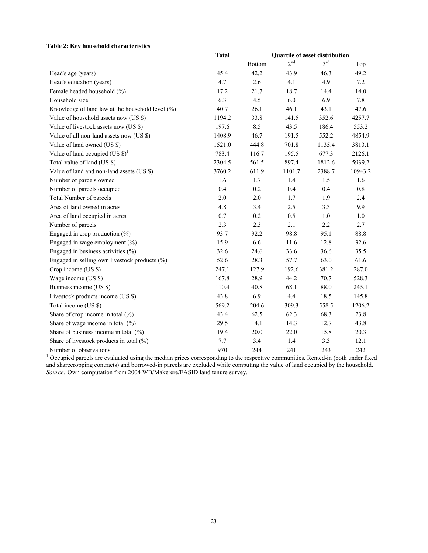|                                                  | <b>Total</b> |               | <b>Quartile of asset distribution</b> |                 |         |
|--------------------------------------------------|--------------|---------------|---------------------------------------|-----------------|---------|
|                                                  |              | <b>Bottom</b> | 2 <sup>nd</sup>                       | 3 <sup>rd</sup> | Top     |
| Head's age (years)                               | 45.4         | 42.2          | 43.9                                  | 46.3            | 49.2    |
| Head's education (years)                         | 4.7          | 2.6           | 4.1                                   | 4.9             | $7.2\,$ |
| Female headed household (%)                      | 17.2         | 21.7          | 18.7                                  | 14.4            | 14.0    |
| Household size                                   | 6.3          | 4.5           | 6.0                                   | 6.9             | 7.8     |
| Knowledge of land law at the household level (%) | 40.7         | 26.1          | 46.1                                  | 43.1            | 47.6    |
| Value of household assets now (US \$)            | 1194.2       | 33.8          | 141.5                                 | 352.6           | 4257.7  |
| Value of livestock assets now (US \$)            | 197.6        | 8.5           | 43.5                                  | 186.4           | 553.2   |
| Value of all non-land assets now (US \$)         | 1408.9       | 46.7          | 191.5                                 | 552.2           | 4854.9  |
| Value of land owned (US \$)                      | 1521.0       | 444.8         | 701.8                                 | 1135.4          | 3813.1  |
| Value of land occupied (US $\$\$ ) <sup>1</sup>  | 783.4        | 116.7         | 195.5                                 | 677.3           | 2126.1  |
| Total value of land (US \$)                      | 2304.5       | 561.5         | 897.4                                 | 1812.6          | 5939.2  |
| Value of land and non-land assets (US \$)        | 3760.2       | 611.9         | 1101.7                                | 2388.7          | 10943.2 |
| Number of parcels owned                          | 1.6          | 1.7           | 1.4                                   | 1.5             | 1.6     |
| Number of parcels occupied                       | 0.4          | 0.2           | 0.4                                   | 0.4             | 0.8     |
| Total Number of parcels                          | 2.0          | 2.0           | 1.7                                   | 1.9             | 2.4     |
| Area of land owned in acres                      | 4.8          | 3.4           | 2.5                                   | 3.3             | 9.9     |
| Area of land occupied in acres                   | 0.7          | $0.2\,$       | 0.5                                   | $1.0\,$         | $1.0\,$ |
| Number of parcels                                | 2.3          | 2.3           | 2.1                                   | 2.2             | 2.7     |
| Engaged in crop production $(\% )$               | 93.7         | 92.2          | 98.8                                  | 95.1            | 88.8    |
| Engaged in wage employment (%)                   | 15.9         | 6.6           | 11.6                                  | 12.8            | 32.6    |
| Engaged in business activities (%)               | 32.6         | 24.6          | 33.6                                  | 36.6            | 35.5    |
| Engaged in selling own livestock products (%)    | 52.6         | 28.3          | 57.7                                  | 63.0            | 61.6    |
| Crop income (US \$)                              | 247.1        | 127.9         | 192.6                                 | 381.2           | 287.0   |
| Wage income (US \$)                              | 167.8        | 28.9          | 44.2                                  | 70.7            | 528.3   |
| Business income (US \$)                          | 110.4        | 40.8          | 68.1                                  | 88.0            | 245.1   |
| Livestock products income (US \$)                | 43.8         | 6.9           | 4.4                                   | 18.5            | 145.8   |
| Total income (US \$)                             | 569.2        | 204.6         | 309.3                                 | 558.5           | 1206.2  |
| Share of crop income in total (%)                | 43.4         | 62.5          | 62.3                                  | 68.3            | 23.8    |
| Share of wage income in total $(\% )$            | 29.5         | 14.1          | 14.3                                  | 12.7            | 43.8    |
| Share of business income in total (%)            | 19.4         | 20.0          | 22.0                                  | 15.8            | 20.3    |
| Share of livestock products in total (%)         | 7.7          | 3.4           | 1.4                                   | 3.3             | 12.1    |
| Number of observations                           | 970          | 244           | 241                                   | 243             | 242     |

**Table 2: Key household characteristics** 

Number of observations 970 244 241 243 242<br><sup>1</sup> Occupied parcels are evaluated using the median prices corresponding to the respective communities. Rented-in (both under fixed and sharecropping contracts) and borrowed-in parcels are excluded while computing the value of land occupied by the household. *Source:* Own computation from 2004 WB/Makerere/FASID land tenure survey.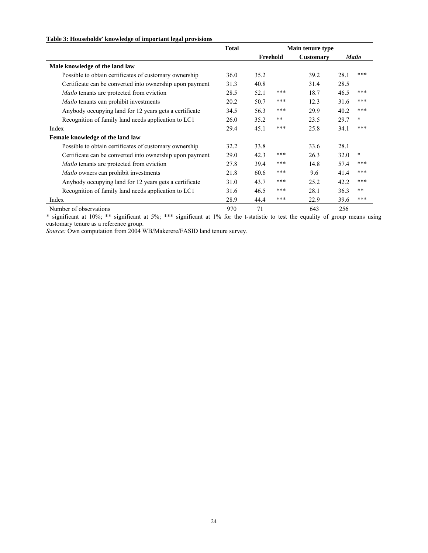#### **Table 3: Households' knowledge of important legal provisions**

|                                                          | <b>Total</b> | Main tenure type |          |                  |      |              |
|----------------------------------------------------------|--------------|------------------|----------|------------------|------|--------------|
|                                                          |              |                  | Freehold | <b>Customary</b> |      | <b>Mailo</b> |
| Male knowledge of the land law                           |              |                  |          |                  |      |              |
| Possible to obtain certificates of customary ownership   | 36.0         | 35.2             |          | 39.2             | 28.1 | ***          |
| Certificate can be converted into ownership upon payment | 31.3         | 40.8             |          | 31.4             | 28.5 |              |
| <i>Mailo</i> tenants are protected from eviction         | 28.5         | 52.1             | $***$    | 18.7             | 46.5 | ***          |
| Mailo tenants can prohibit investments                   | 20.2         | 50.7             | $***$    | 12.3             | 31.6 | ***          |
| Anybody occupying land for 12 years gets a certificate   | 34.5         | 56.3             | $***$    | 29.9             | 40.2 | ***          |
| Recognition of family land needs application to LC1      | 26.0         | 35.2             | $* *$    | 23.5             | 29.7 | *            |
| Index                                                    | 29.4         | 45.1             | ***      | 25.8             | 34.1 | ***          |
| Female knowledge of the land law                         |              |                  |          |                  |      |              |
| Possible to obtain certificates of customary ownership   | 32.2         | 33.8             |          | 33.6             | 28.1 |              |
| Certificate can be converted into ownership upon payment | 29.0         | 42.3             | $***$    | 26.3             | 32.0 | $\ast$       |
| <i>Mailo</i> tenants are protected from eviction         | 27.8         | 39.4             | $***$    | 14.8             | 57.4 | ***          |
| <i>Mailo</i> owners can prohibit investments             | 21.8         | 60.6             | $***$    | 9.6              | 41.4 | ***          |
| Anybody occupying land for 12 years gets a certificate   | 31.0         | 43.7             | $***$    | 25.2             | 42.2 | ***          |
| Recognition of family land needs application to LC1      | 31.6         | 46.5             | ***      | 28.1             | 36.3 | $**$         |
| Index                                                    | 28.9         | 44.4             | ***      | 22.9             | 39.6 | ***          |
| Number of observations                                   | 970          | 71               |          | 643              | 256  |              |

\* significant at 10%; \*\* significant at 5%; \*\*\* significant at 1% for the t-statistic to test the equality of group means using customary tenure as a reference group.

*Source:* Own computation from 2004 WB/Makerere/FASID land tenure survey.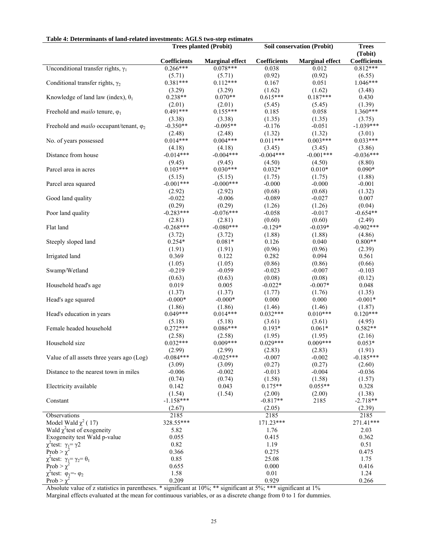| radio 4. Determinants of fang-related investments. AGD5 two-step estimates |                       | <b>Trees planted (Probit)</b> |                                        | Soil conservation (Probit) | <b>Trees</b>         |
|----------------------------------------------------------------------------|-----------------------|-------------------------------|----------------------------------------|----------------------------|----------------------|
|                                                                            |                       |                               |                                        |                            | (Tobit)              |
|                                                                            | Coefficients          | <b>Marginal effect</b>        | $\label{eq:coefficients} Coefficients$ | <b>Marginal effect</b>     | <b>Coefficients</b>  |
| Unconditional transfer rights, $\gamma_1$                                  | $0.266***$            | $0.078***$                    | 0.038                                  | 0.012                      | $0.812***$           |
|                                                                            | (5.71)                | (5.71)                        | (0.92)                                 | (0.92)                     | (6.55)               |
| Conditional transfer rights, $\gamma_2$                                    | $0.381***$            | $0.112***$                    | 0.167                                  | 0.051                      | $1.046***$           |
| Knowledge of land law (index), $\theta_1$                                  | (3.29)<br>$0.238**$   | (3.29)<br>$0.070**$           | (1.62)<br>$0.615***$                   | (1.62)<br>$0.187***$       | (3.48)<br>0.430      |
|                                                                            | (2.01)                | (2.01)                        | (5.45)                                 | (5.45)                     | (1.39)               |
| Freehold and <i>mailo</i> tenure, $\varphi_1$                              | $0.491***$            | $0.155***$                    | 0.185                                  | 0.058                      | $1.360***$           |
|                                                                            | (3.38)                | (3.38)                        | (1.35)                                 | (1.35)                     | (3.75)               |
| Freehold and <i>mailo</i> occupant/tenant, $\varphi_2$                     | $-0.350**$            | $-0.095**$                    | $-0.176$                               | $-0.051$                   | $-1.039***$          |
|                                                                            | (2.48)                | (2.48)                        | (1.32)                                 | (1.32)                     | (3.01)               |
| No. of years possessed                                                     | $0.014***$            | $0.004***$                    | $0.011***$                             | $0.003***$                 | $0.033***$           |
|                                                                            | (4.18)                | (4.18)                        | (3.45)                                 | (3.45)                     | (3.86)               |
| Distance from house                                                        | $-0.014***$           | $-0.004***$                   | $-0.004***$                            | $-0.001***$                | $-0.036***$          |
|                                                                            | (9.45)                | (9.45)                        | (4.50)                                 | (4.50)                     | (8.80)               |
| Parcel area in acres                                                       | $0.103***$            | $0.030***$                    | $0.032*$                               | $0.010*$                   | $0.090*$             |
|                                                                            | (5.15)                | (5.15)                        | (1.75)                                 | (1.75)                     | (1.88)               |
| Parcel area squared                                                        | $-0.001***$           | $-0.000***$                   | $-0.000$                               | $-0.000$                   | $-0.001$             |
|                                                                            | (2.92)                | (2.92)                        | (0.68)                                 | (0.68)                     | (1.32)               |
| Good land quality                                                          | $-0.022$              | $-0.006$                      | $-0.089$                               | $-0.027$                   | 0.007                |
|                                                                            | (0.29)                | (0.29)                        | (1.26)                                 | (1.26)                     | (0.04)               |
| Poor land quality                                                          | $-0.283***$           | $-0.076***$                   | $-0.058$                               | $-0.017$                   | $-0.654**$           |
|                                                                            | (2.81)<br>$-0.268***$ | (2.81)                        | (0.60)                                 | (0.60)                     | (2.49)               |
| Flat land                                                                  |                       | $-0.080***$                   | $-0.129*$                              | $-0.039*$                  | $-0.902***$          |
| Steeply sloped land                                                        | (3.72)<br>$0.254*$    | (3.72)<br>$0.081*$            | (1.88)                                 | (1.88)<br>0.040            | (4.86)<br>$0.800**$  |
|                                                                            | (1.91)                | (1.91)                        | 0.126<br>(0.96)                        | (0.96)                     | (2.39)               |
| Irrigated land                                                             | 0.369                 | 0.122                         | 0.282                                  | 0.094                      | 0.561                |
|                                                                            | (1.05)                | (1.05)                        | (0.86)                                 | (0.86)                     | (0.66)               |
| Swamp/Wetland                                                              | $-0.219$              | $-0.059$                      | $-0.023$                               | $-0.007$                   | $-0.103$             |
|                                                                            | (0.63)                | (0.63)                        | (0.08)                                 | (0.08)                     | (0.12)               |
| Household head's age                                                       | 0.019                 | 0.005                         | $-0.022*$                              | $-0.007*$                  | 0.048                |
|                                                                            | (1.37)                | (1.37)                        | (1.77)                                 | (1.76)                     | (1.35)               |
| Head's age squared                                                         | $-0.000*$             | $-0.000*$                     | 0.000                                  | 0.000                      | $-0.001*$            |
|                                                                            | (1.86)                | (1.86)                        | (1.46)                                 | (1.46)                     | (1.87)               |
| Head's education in years                                                  | $0.049***$            | $0.014***$                    | $0.032***$                             | $0.010***$                 | $0.120***$           |
|                                                                            | (5.18)                | (5.18)                        | (3.61)                                 | (3.61)                     | (4.95)               |
| Female headed household                                                    | $0.272***$            | $0.086***$                    | $0.193*$                               | $0.061*$                   | $0.582**$            |
|                                                                            | (2.58)                | (2.58)                        | (1.95)                                 | (1.95)                     | (2.16)               |
| Household size                                                             | $0.032***$            | $0.009***$                    | $0.029***$                             | $0.009***$                 | $0.053*$             |
|                                                                            | (2.99)                | (2.99)                        | (2.83)                                 | (2.83)                     | (1.91)               |
| Value of all assets three years ago (Log)                                  | $-0.084***$           | $-0.025***$                   | $-0.007$                               | $-0.002$                   | $-0.185***$          |
|                                                                            | (3.09)                | (3.09)                        | (0.27)                                 | (0.27)                     | (2.60)               |
| Distance to the nearest town in miles                                      | $-0.006$              | $-0.002$                      | $-0.013$                               | $-0.004$                   | $-0.036$             |
|                                                                            | (0.74)                | (0.74)                        | (1.58)                                 | (1.58)                     | (1.57)               |
| Electricity available                                                      | 0.142<br>(1.54)       | 0.043                         | $0.175**$                              | $0.055**$                  | 0.328                |
| Constant                                                                   | $-1.158***$           | (1.54)                        | (2.00)<br>$-0.817**$                   | (2.00)<br>2185             | (1.38)<br>$-2.718**$ |
|                                                                            | (2.67)                |                               | (2.05)                                 |                            | (2.39)               |
| Observations                                                               | 2185                  |                               | 2185                                   |                            | 2185                 |
| Model Wald $\chi^2$ (17)                                                   | 328.55***             |                               | 171.23***                              |                            | 271.41***            |
| Wald $\chi^2$ test of exogeneity                                           | 5.82                  |                               | 1.76                                   |                            | 2.03                 |
| Exogeneity test Wald p-value                                               | 0.055                 |                               | 0.415                                  |                            | 0.362                |
| $\chi^2$ test: $\gamma_1 = \gamma 2$                                       | 0.82                  |                               | 1.19                                   |                            | 0.51                 |
| Prob > $\chi^2$                                                            | 0.366                 |                               | 0.275                                  |                            | 0.475                |
| $\chi^2$ test: $\gamma_1 = \gamma_2 = \theta_1$                            | 0.85                  |                               | 25.08                                  |                            | 1.75                 |
| Prob > $\chi^2$                                                            | 0.655                 |                               | 0.000                                  |                            | 0.416                |
| $\chi^2$ test: $\varphi_1 = -\varphi_2$                                    | 1.58                  |                               | 0.01                                   |                            | 1.24                 |
| Prob > $\gamma$                                                            | 0.209                 |                               | 0.929                                  |                            | 0.266                |

#### **Table 4: Determinants of land-related investments: AGLS two-step estimates**

Absolute value of z statistics in parentheses. \* significant at 10%; \*\* significant at 5%; \*\*\* significant at 1% Marginal effects evaluated at the mean for continuous variables, or as a discrete change from 0 to 1 for dummies.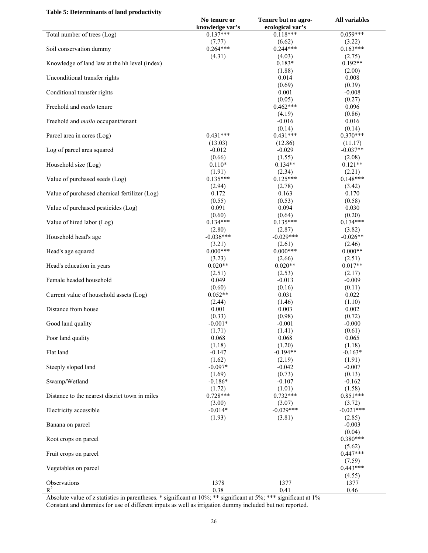| Table 5: Determinants of land productivity |  |  |
|--------------------------------------------|--|--|
|--------------------------------------------|--|--|

|                                                | No tenure or<br>knowledge var's | Tenure but no agro-<br>ecological var's | <b>All variables</b> |
|------------------------------------------------|---------------------------------|-----------------------------------------|----------------------|
| Total number of trees (Log)                    | $0.137***$                      | $0.118***$                              | $0.059***$           |
|                                                | (7.77)                          | (6.62)                                  | (3.22)               |
| Soil conservation dummy                        | $0.264***$                      | $0.244***$                              | $0.163***$           |
| Knowledge of land law at the hh level (index)  | (4.31)                          | (4.03)<br>$0.183*$                      | (2.75)<br>$0.192**$  |
|                                                |                                 | (1.88)                                  | (2.00)               |
| Unconditional transfer rights                  |                                 | 0.014<br>(0.69)                         | 0.008<br>(0.39)      |
| Conditional transfer rights                    |                                 | 0.001                                   | $-0.008$             |
|                                                |                                 | (0.05)                                  | (0.27)               |
| Freehold and <i>mailo</i> tenure               |                                 | $0.462***$                              | 0.096                |
|                                                |                                 | (4.19)                                  | (0.86)               |
| Freehold and mailo occupant/tenant             |                                 | $-0.016$<br>(0.14)                      | 0.016<br>(0.14)      |
| Parcel area in acres (Log)                     | $0.431***$                      | $0.431***$                              | $0.370***$           |
|                                                | (13.03)                         | (12.86)                                 | (11.17)              |
| Log of parcel area squared                     | $-0.012$                        | $-0.029$                                | $-0.037**$           |
|                                                | (0.66)                          | (1.55)                                  | (2.08)               |
| Household size (Log)                           | $0.110*$<br>(1.91)              | $0.134**$<br>(2.34)                     | $0.121**$<br>(2.21)  |
| Value of purchased seeds (Log)                 | $0.135***$                      | $0.125***$                              | $0.148***$           |
|                                                | (2.94)                          | (2.78)                                  | (3.42)               |
| Value of purchased chemical fertilizer (Log)   | 0.172                           | 0.163                                   | 0.170                |
|                                                | (0.55)                          | (0.53)                                  | (0.58)               |
| Value of purchased pesticides (Log)            | 0.091<br>(0.60)                 | 0.094<br>(0.64)                         | 0.030<br>(0.20)      |
| Value of hired labor (Log)                     | $0.134***$                      | $0.135***$                              | $0.174***$           |
|                                                | (2.80)                          | (2.87)                                  | (3.82)               |
| Household head's age                           | $-0.036***$                     | $-0.029***$                             | $-0.026**$           |
|                                                | (3.21)                          | (2.61)                                  | (2.46)               |
| Head's age squared                             | $0.000***$<br>(3.23)            | $0.000***$<br>(2.66)                    | $0.000**$<br>(2.51)  |
| Head's education in years                      | $0.020**$                       | $0.020**$                               | $0.017**$            |
|                                                | (2.51)                          | (2.53)                                  | (2.17)               |
| Female headed household                        | 0.049                           | $-0.013$                                | $-0.009$             |
| Current value of household assets (Log)        | (0.60)<br>$0.052**$             | (0.16)<br>0.031                         | (0.11)<br>0.022      |
|                                                | (2.44)                          | (1.46)                                  | (1.10)               |
| Distance from house                            | 0.001                           | 0.003                                   | 0.002                |
|                                                | (0.33)                          | (0.98)                                  | (0.72)               |
| Good land quality                              | $-0.001*$                       | $-0.001$                                | $-0.000$             |
| Poor land quality                              | (1.71)<br>0.068                 | (1.41)<br>0.068                         | (0.61)<br>0.065      |
|                                                | (1.18)                          | (1.20)                                  | (1.18)               |
| Flat land                                      | $-0.147$                        | $-0.194**$                              | $-0.163*$            |
|                                                | (1.62)                          | (2.19)                                  | (1.91)               |
| Steeply sloped land                            | $-0.097*$                       | $-0.042$                                | $-0.007$             |
| Swamp/Wetland                                  | (1.69)<br>$-0.186*$             | (0.73)<br>$-0.107$                      | (0.13)<br>$-0.162$   |
|                                                | (1.72)                          | (1.01)                                  | (1.58)               |
| Distance to the nearest district town in miles | $0.728***$                      | $0.732***$                              | $0.851***$           |
|                                                | (3.00)                          | (3.07)                                  | (3.72)               |
| Electricity accessible                         | $-0.014*$                       | $-0.029***$                             | $-0.021***$          |
| Banana on parcel                               | (1.93)                          | (3.81)                                  | (2.85)<br>$-0.003$   |
|                                                |                                 |                                         | (0.04)               |
| Root crops on parcel                           |                                 |                                         | $0.380***$           |
|                                                |                                 |                                         | (5.62)               |
| Fruit crops on parcel                          |                                 |                                         | $0.447***$<br>(7.59) |
| Vegetables on parcel                           |                                 |                                         | $0.443***$           |
|                                                |                                 |                                         | (4.55)               |
| Observations                                   | 1378                            | 1377                                    | 1377                 |
| $R^2$                                          | 0.38                            | 0.41                                    | 0.46                 |

Absolute value of z statistics in parentheses. \* significant at 10%; \*\* significant at 5%; \*\*\* significant at 1% Constant and dummies for use of different inputs as well as irrigation dummy included but not reported.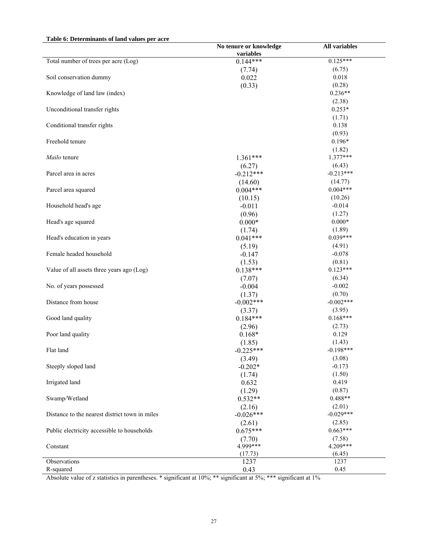#### **Table 6: Determinants of land values per acre**

|                                                | No tenure or knowledge | <b>All variables</b> |
|------------------------------------------------|------------------------|----------------------|
|                                                | variables              |                      |
| Total number of trees per acre (Log)           | $0.144***$             | $0.125***$           |
|                                                | (7.74)                 | (6.75)               |
| Soil conservation dummy                        | 0.022                  | 0.018                |
|                                                | (0.33)                 | (0.28)               |
| Knowledge of land law (index)                  |                        | $0.236**$            |
|                                                |                        | (2.38)               |
| Unconditional transfer rights                  |                        | $0.253*$             |
|                                                |                        | (1.71)               |
| Conditional transfer rights                    |                        | 0.138                |
|                                                |                        | (0.93)               |
| Freehold tenure                                |                        | $0.196*$             |
|                                                |                        | (1.82)               |
| Mailo tenure                                   | $1.361***$             | $1.377***$           |
|                                                | (6.27)                 | (6.43)               |
| Parcel area in acres                           | $-0.212***$            | $-0.213***$          |
|                                                | (14.60)                | (14.77)              |
| Parcel area squared                            | $0.004***$             | $0.004***$           |
|                                                | (10.15)                | (10.26)              |
| Household head's age                           | $-0.011$               | $-0.014$             |
|                                                | (0.96)                 | (1.27)               |
| Head's age squared                             | $0.000*$               | $0.000*$             |
|                                                | (1.74)                 | (1.89)               |
| Head's education in years                      | $0.041***$             | $0.039***$           |
|                                                | (5.19)                 | (4.91)               |
| Female headed household                        | $-0.147$               | $-0.078$             |
|                                                | (1.53)                 | (0.81)               |
| Value of all assets three years ago (Log)      | $0.138***$             | $0.123***$           |
|                                                | (7.07)                 | (6.34)               |
| No. of years possessed                         | $-0.004$               | $-0.002$             |
|                                                | (1.37)                 | (0.70)               |
| Distance from house                            | $-0.002***$            | $-0.002***$          |
|                                                | (3.37)                 | (3.95)               |
| Good land quality                              | $0.184***$             | $0.168***$           |
|                                                | (2.96)                 | (2.73)               |
| Poor land quality                              | $0.168*$               | 0.129                |
|                                                | (1.85)                 | (1.43)               |
| Flat land                                      | $-0.225***$            | $-0.198***$          |
|                                                | (3.49)                 | (3.08)               |
| Steeply sloped land                            | $-0.202*$              | $-0.173$             |
|                                                | (1.74)                 | (1.50)               |
| Irrigated land                                 | 0.632                  | 0.419                |
|                                                | (1.29)                 | (0.87)               |
| Swamp/Wetland                                  | $0.532**$              | $0.488**$            |
|                                                | (2.16)                 | (2.01)               |
| Distance to the nearest district town in miles | $-0.026***$            | $-0.029***$          |
|                                                | (2.61)                 | (2.85)               |
| Public electricity accessible to households    | $0.675***$             | $0.663***$           |
|                                                | (7.70)                 | (7.58)               |
| Constant                                       | 4.999***               | 4.209***             |
|                                                | (17.73)                | (6.45)               |
| Observations                                   | 1237                   | 1237                 |
| R-squared                                      | 0.43                   | 0.45                 |

Absolute value of z statistics in parentheses. \* significant at 10%; \*\* significant at 5%; \*\*\* significant at 1%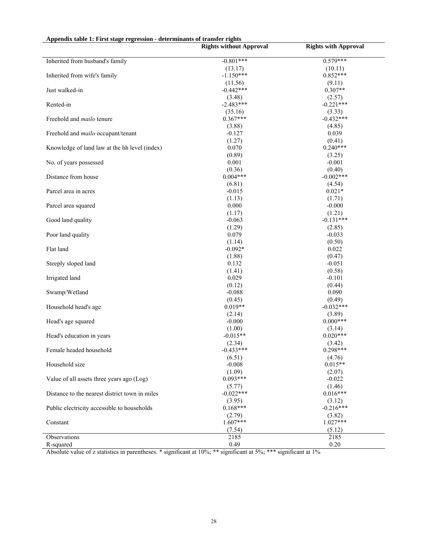| Appendix table 1: First stage regression - determinants of transfer rights |                                |                             |
|----------------------------------------------------------------------------|--------------------------------|-----------------------------|
|                                                                            | <b>Rights without Approval</b> | <b>Rights with Approval</b> |
| Inherited from husband's family                                            | $-0.801***$                    | $0.579***$                  |
|                                                                            | (13.17)                        | (10.11)                     |
| Inherited from wife's family                                               | $-1.150***$                    | $0.852***$                  |
|                                                                            | (11.56)                        | (9.11)                      |
| Just walked-in                                                             | $-0.442***$                    | $0.307**$                   |
|                                                                            | (3.48)                         | (2.57)                      |
| Rented-in                                                                  | $-2.483***$                    | $-0.221***$                 |
|                                                                            | (35.16)                        | (3.33)                      |
| Freehold and <i>mailo</i> tenure                                           | $0.367***$                     | $-0.432***$                 |
|                                                                            | (3.88)                         | (4.85)                      |
| Freehold and mailo occupant/tenant                                         | $-0.127$                       | 0.039                       |
|                                                                            | (1.27)                         | (0.41)                      |
| Knowledge of land law at the hh level (index)                              | 0.070                          | $0.240***$                  |
|                                                                            | (0.89)                         | (3.25)                      |
| No. of years possessed                                                     | 0.001                          | $-0.001$                    |
|                                                                            | (0.36)                         | (0.40)                      |
| Distance from house                                                        | $0.004***$                     | $-0.002***$                 |
|                                                                            | (6.81)                         | (4.54)                      |
| Parcel area in acres                                                       | $-0.015$                       | $0.021*$                    |
|                                                                            | (1.13)                         | (1.71)                      |
| Parcel area squared                                                        | 0.000                          | $-0.000$                    |
|                                                                            | (1.17)                         | (1.21)                      |
| Good land quality                                                          | $-0.063$                       | $-0.131***$                 |
|                                                                            | (1.29)                         | (2.85)                      |
| Poor land quality                                                          | 0.079                          | $-0.033$                    |
|                                                                            | (1.14)                         | (0.50)                      |
| Flat land                                                                  | $-0.092*$                      | 0.022                       |
|                                                                            | (1.88)                         | (0.47)                      |
| Steeply sloped land                                                        | 0.132                          | $-0.051$                    |
|                                                                            | (1.41)                         | (0.58)                      |
| Irrigated land                                                             | 0.029                          | $-0.101$                    |
|                                                                            | (0.12)                         | (0.44)                      |
| Swamp/Wetland                                                              | $-0.088$                       | 0.090                       |
|                                                                            | (0.45)                         | (0.49)                      |
| Household head's age                                                       | $0.019**$                      | $-0.032***$                 |
|                                                                            | (2.14)                         | (3.89)                      |
| Head's age squared                                                         | $-0.000$                       | $0.000***$                  |
|                                                                            | (1.00)                         | (3.14)                      |
| Head's education in years                                                  | $-0.015**$                     | $0.020***$                  |
|                                                                            | (2.34)                         | (3.42)                      |
| Female headed household                                                    | $-0.433***$                    | $0.298***$                  |
|                                                                            | (6.51)                         | (4.76)                      |
| Household size                                                             | $-0.008$                       | $0.015**$                   |
|                                                                            | (1.09)                         | (2.07)                      |
| Value of all assets three years ago (Log)                                  | $0.093***$                     | $-0.022$                    |
|                                                                            | (5.77)                         | (1.46)                      |
| Distance to the nearest district town in miles                             | $-0.022***$                    | $0.016***$                  |
|                                                                            | (3.95)                         | (3.12)                      |
| Public electricity accessible to households                                | $0.168***$                     | $-0.216***$                 |
|                                                                            | (2.79)                         | (3.82)                      |
| Constant                                                                   | 1.607***                       | $1.027***$                  |
|                                                                            | (7.54)                         | (5.12)                      |
| Observations                                                               | 2185                           | 2185                        |
| R-squared                                                                  | 0.49                           | $0.20\,$                    |

Absolute value of z statistics in parentheses. \* significant at 10%; \*\* significant at 5%; \*\*\* significant at 1%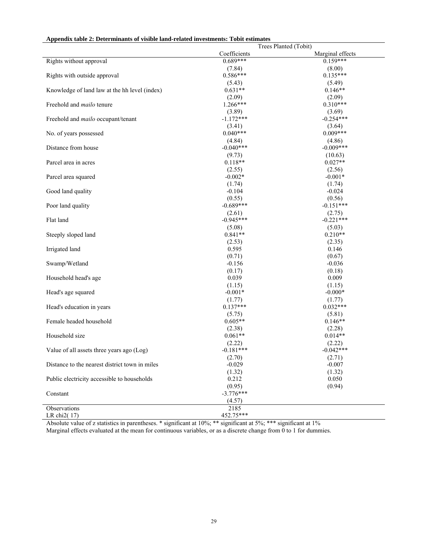| Appendix table 2: Determinants of visible land-related investments: Tobit estimates |  |  |
|-------------------------------------------------------------------------------------|--|--|
|-------------------------------------------------------------------------------------|--|--|

|                                                |                     | Trees Planted (Tobit) |
|------------------------------------------------|---------------------|-----------------------|
|                                                | Coefficients        | Marginal effects      |
| Rights without approval                        | $0.689***$          | $0.159***$            |
|                                                | (7.84)              | (8.00)                |
| Rights with outside approval                   | $0.586***$          | $0.135***$            |
|                                                | (5.43)              | (5.49)                |
| Knowledge of land law at the hh level (index)  | $0.631**$           | $0.146**$             |
|                                                | (2.09)              | (2.09)                |
| Freehold and <i>mailo</i> tenure               | $1.266***$          | $0.310***$            |
|                                                | (3.89)              | (3.69)                |
| Freehold and mailo occupant/tenant             | $-1.172***$         | $-0.254***$           |
|                                                | (3.41)              | (3.64)                |
| No. of years possessed                         | $0.040***$          | $0.009***$            |
|                                                | (4.84)              | (4.86)                |
| Distance from house                            | $-0.040***$         | $-0.009***$           |
|                                                | (9.73)              | (10.63)               |
| Parcel area in acres                           | $0.118**$           | $0.027**$             |
|                                                |                     |                       |
|                                                | (2.55)<br>$-0.002*$ | (2.56)<br>$-0.001*$   |
| Parcel area squared                            |                     |                       |
|                                                | (1.74)              | (1.74)                |
| Good land quality                              | $-0.104$            | $-0.024$              |
|                                                | (0.55)              | (0.56)                |
| Poor land quality                              | $-0.689***$         | $-0.151***$           |
|                                                | (2.61)              | (2.75)                |
| Flat land                                      | $-0.945***$         | $-0.221***$           |
|                                                | (5.08)              | (5.03)                |
| Steeply sloped land                            | $0.841**$           | $0.210**$             |
|                                                | (2.53)              | (2.35)                |
| Irrigated land                                 | 0.595               | 0.146                 |
|                                                | (0.71)              | (0.67)                |
| Swamp/Wetland                                  | $-0.156$            | $-0.036$              |
|                                                | (0.17)              | (0.18)                |
| Household head's age                           | 0.039               | 0.009                 |
|                                                | (1.15)              | (1.15)                |
| Head's age squared                             | $-0.001*$           | $-0.000*$             |
|                                                | (1.77)              | (1.77)                |
| Head's education in years                      | $0.137***$          | $0.032***$            |
|                                                | (5.75)              | (5.81)                |
| Female headed household                        | $0.605**$           | $0.146**$             |
|                                                | (2.38)              | (2.28)                |
| Household size                                 | $0.061**$           | $0.014**$             |
|                                                | (2.22)              | (2.22)                |
| Value of all assets three years ago (Log)      | $-0.181***$         | $-0.042***$           |
|                                                | (2.70)              | (2.71)                |
| Distance to the nearest district town in miles | $-0.029$            | $-0.007$              |
|                                                | (1.32)              | (1.32)                |
| Public electricity accessible to households    | 0.212               | 0.050                 |
|                                                | (0.95)              | (0.94)                |
| Constant                                       | $-3.776***$         |                       |
|                                                | (4.57)              |                       |
| Observations                                   | 2185                |                       |
| LR chi2(17)                                    | 452.75***           |                       |
|                                                |                     |                       |

Absolute value of z statistics in parentheses. \* significant at 10%; \*\* significant at 5%; \*\*\* significant at 1% Marginal effects evaluated at the mean for continuous variables, or as a discrete change from 0 to 1 for dummies.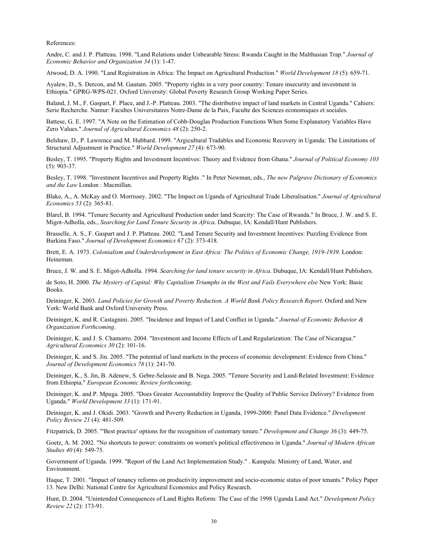References:

Andre, C. and J. P. Platteau. 1998. "Land Relations under Unbearable Stress: Rwanda Caught in the Malthusian Trap." *Journal of Economic Behavior and Organization 34* (1): 1-47.

Atwood, D. A. 1990. "Land Registration in Africa: The Impact on Agricultural Production." *World Development 18* (5): 659-71.

Ayalew, D., S. Dercon, and M. Gautam. 2005. "Property rights in a very poor country: Tenure insecurity and investment in Ethiopia." GPRG-WPS-021. Oxford University: Global Poverty Research Group Working Paper Series.

Baland, J. M., F. Gaspart, F. Place, and J.-P. Platteau. 2003. "The distributive impact of land markets in Central Uganda." Cahiers: Serie Recherche. Namur: Facultes Universitaires Notre-Dame de la Paix, Faculte des Sciences economiques et sociales.

Battese, G. E. 1997. "A Note on the Estimation of Cobb-Douglas Production Functions When Some Explanatory Variables Have Zero Values." *Journal of Agricultural Economics 48* (2): 250-2.

Belshaw, D., P. Lawrence and M. Hubbard. 1999. "Argicultural Tradables and Economic Recovery in Uganda: The Limitations of Structural Adjustment in Practice." *World Development 27* (4): 673-90.

Besley, T. 1995. "Property Rights and Investment Incentives: Theory and Evidence from Ghana." *Journal of Political Economy 103* (5): 903-37.

Besley, T. 1998. "Investment Incentives and Property Rights ." In Peter Newman, eds., *The new Palgrave Dictionary of Economics and the Law* London : Macmillan.

Blake, A., A. McKay and O. Morrissey. 2002. "The Impact on Uganda of Agricultural Trade Liberalisation." *Journal of Agricultural Economics 53* (2): 365-81.

Blarel, B. 1994. "Tenure Security and Agricultural Production under land Scarcity: The Case of Rwanda." In Bruce, J. W. and S. E. Migot-Adholla, eds., *Searching for Land Tenure Security in Africa*. Dubuque, IA: Kendall/Hunt Publishers.

Brasselle, A. S., F. Gaspart and J. P. Platteau. 2002. "Land Tenure Security and Investment Incentives: Puzzling Evidence from Burkina Faso." *Journal of Development Economics 67* (2): 373-418.

Brett, E. A. 1973. *Colonialism and Underdevelopment in East Africa: The Politics of Economic Change, 1919-1939*. London: Heineman.

Bruce, J. W. and S. E. Migot-Adholla. 1994. *Searching for land tenure security in Africa*. Dubuque, IA: Kendall/Hunt Publishers.

de Soto, H. 2000. *The Mystery of Capital: Why Capitalism Triumphs in the West and Fails Everywhere else* New York: Basic Books.

Deininger, K. 2003. *Land Policies for Growth and Poverty Reduction. A World Bank Policy Research Report*. Oxford and New York: World Bank and Oxford University Press.

Deininger, K. and R. Castagnini. 2005. "Incidence and Impact of Land Conflict in Uganda." *Journal of Economic Behavior & Organization Forthcoming*.

Deininger, K. and J. S. Chamorro. 2004. "Investment and Income Effects of Land Regularization: The Case of Nicaragua." *Agricultural Economics 30* (2): 101-16.

Deininger, K. and S. Jin. 2005. "The potential of land markets in the process of economic development: Evidence from China." *Journal of Development Economics 78* (1): 241-70.

Deininger, K., S. Jin, B. Adenew, S. Gebre-Selassie and B. Nega. 2005. "Tenure Security and Land-Related Investment: Evidence from Ethiopia." *European Economic Review forthcoming*.

Deininger, K. and P. Mpuga. 2005. "Does Greater Accountability Improve the Quality of Public Service Delivery? Evidence from Uganda." *World Development 33* (1): 171-91.

Deininger, K. and J. Okidi. 2003. "Growth and Poverty Reduction in Uganda, 1999-2000: Panel Data Evidence." *Development Policy Review 21* (4): 481-509.

Fitzpatrick, D. 2005. "'Best practice' options for the recognition of customary tenure." *Development and Change 36* (3): 449-75.

Goetz, A. M. 2002. "No shortcuts to power: constraints on women's political effectiveness in Uganda." *Journal of Modern African Studies 40* (4): 549-75.

Government of Uganda. 1999. "Report of the Land Act Implementation Study." . Kampala: Ministry of Land, Water, and Environment.

Haque, T. 2001. "Impact of tenancy reforms on productivity improvement and socio-economic status of poor tenants." Policy Paper 13. New Delhi: National Centre for Agricultural Economics and Policy Research.

Hunt, D. 2004. "Unintended Consequences of Land Rights Reform: The Case of the 1998 Uganda Land Act." *Development Policy Review 22* (2): 173-91.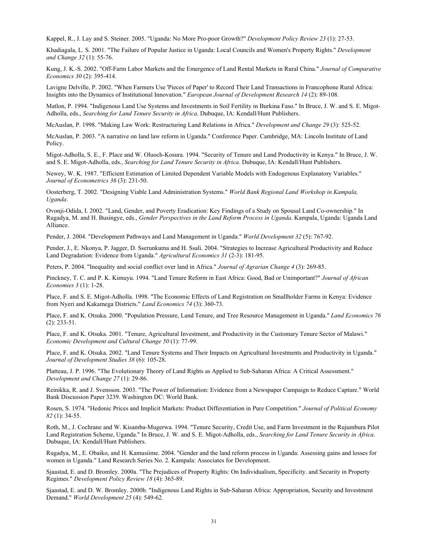Kappel, R., J. Lay and S. Steiner. 2005. "Uganda: No More Pro-poor Growth?" *Development Policy Review 23* (1): 27-53.

Khadiagala, L. S. 2001. "The Failure of Popular Justice in Uganda: Local Councils and Women's Property Rights." *Development and Change 32* (1): 55-76.

Kung, J. K.-S. 2002. "Off-Farm Labor Markets and the Emergence of Land Rental Markets in Rural China." *Journal of Comparative Economics 30* (2): 395-414.

Lavigne Delville, P. 2002. "When Farmers Use 'Pieces of Paper' to Record Their Land Transactions in Francophone Rural Africa: Insights into the Dynamics of Institutional Innovation." *European Journal of Development Research 14* (2): 89-108.

Matlon, P. 1994. "Indigenous Land Use Systems and Investments in Soil Fertility in Burkina Faso." In Bruce, J. W. and S. E. Migot-Adholla, eds., *Searching for Land Tenure Security in Africa*. Dubuque, IA: Kendall/Hunt Publishers.

McAuslan, P. 1998. "Making Law Work: Restructuring Land Relations in Africa." *Development and Change 29* (3): 525-52.

McAuslan, P. 2003. "A narrative on land law reform in Uganda." Conference Paper. Cambridge, MA: Lincoln Institute of Land Policy.

Migot-Adholla, S. E., F. Place and W. Oluoch-Kosura. 1994. "Security of Tenure and Land Productivity in Kenya." In Bruce, J. W. and S. E. Migot-Adholla, eds., *Searching for Land Tenure Security in Africa*. Dubuque, IA: Kendall/Hunt Publishers.

Newey, W. K. 1987. "Efficient Estimation of Limited Dependent Variable Models with Endogenous Explanatory Variables." *Journal of Econometrics 36* (3): 231-50.

Oosterberg, T. 2002. "Designing Viable Land Administration Systems." *World Bank Regional Land Workshop in Kampala, Uganda*.

Ovonji-Odida, I. 2002. "Land, Gender, and Poverty Eradication: Key Findings of a Study on Spousal Land Co-ownership." In Rugadya, M. and H. Busingye, eds., *Gender Perspectives in the Land Reform Process in Uganda*. Kampala, Uganda: Uganda Land Alliance.

Pender, J. 2004. "Development Pathways and Land Management in Uganda." *World Development 32* (5): 767-92.

Pender, J., E. Nkonya, P. Jagger, D. Sserunkuma and H. Ssali. 2004. "Strategies to Increase Agricultural Productivity and Reduce Land Degradation: Evidence from Uganda." *Agricultural Economics 31* (2-3): 181-95.

Peters, P. 2004. "Inequality and social conflict over land in Africa." *Journal of Agrarian Change 4* (3): 269-85.

Pinckney, T. C. and P. K. Kimuyu. 1994. "Land Tenure Reform in East Africa: Good, Bad or Unimportant?" *Journal of African Economies 3* (1): 1-28.

Place, F. and S. E. Migot-Adholla. 1998. "The Economic Effects of Land Registration on Smallholder Farms in Kenya: Evidence from Nyeri and Kakamega Districts." *Land Economics 74* (3): 360-73.

Place, F. and K. Otsuka. 2000. "Population Pressure, Land Tenure, and Tree Resource Management in Uganda." *Land Economics 76* (2): 233-51.

Place, F. and K. Otsuka. 2001. "Tenure, Agricultural Investment, and Productivity in the Customary Tenure Sector of Malawi." *Economic Development and Cultural Change 50* (1): 77-99.

Place, F. and K. Otsuka. 2002. "Land Tenure Systems and Their Impacts on Agricultural Investments and Productivity in Uganda." *Journal of Development Studies 38* (6): 105-28.

Platteau, J. P. 1996. "The Evolutionary Theory of Land Rights as Applied to Sub-Saharan Africa: A Critical Assessment." *Development and Change 27* (1): 29-86.

Reinikka, R. and J. Svensson. 2003. "The Power of Information: Evidence from a Newspaper Campaign to Reduce Capture." World Bank Discussion Paper 3239. Washington DC: World Bank.

Rosen, S. 1974. "Hedonic Prices and Implicit Markets: Product Differentiation in Pure Competition." *Journal of Political Economy 82* (1): 34-55.

Roth, M., J. Cochrane and W. Kisamba-Mugerwa. 1994. "Tenure Security, Credit Use, and Farm Investment in the Rujumbura Pilot Land Registration Scheme, Uganda." In Bruce, J. W. and S. E. Migot-Adholla, eds., *Searching for Land Tenure Security in Africa*. Dubuque, IA: Kendall/Hunt Publishers.

Rugadya, M., E. Obaiko, and H. Kamusiime. 2004. "Gender and the land reform process in Uganda: Assessing gains and losses for women in Uganda." Land Research Series No. 2. Kampala: Associates for Development.

Sjaastad, E. and D. Bromley. 2000a. "The Prejudices of Property Rights: On Individualism, Specificity. and Security in Property Regimes." *Development Policy Review 18* (4): 365-89.

Sjaastad, E. and D. W. Bromley. 2000b. "Indigenous Land Rights in Sub-Saharan Africa: Appropriation, Security and Investment Demand." *World Development 25* (4): 549-62.